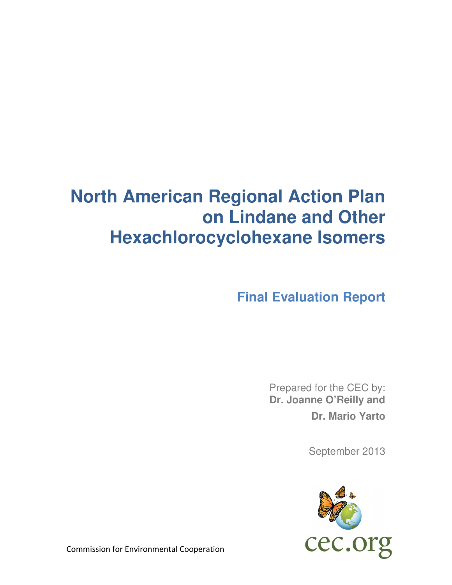# **North American Regional Action Plan on Lindane and Other Hexachlorocyclohexane Isomers**

**Final Evaluation Report** 

Prepared for the CEC by: **Dr. Joanne O'Reilly and Dr. Mario Yarto** 

September 2013



Commission for Environmental Cooperation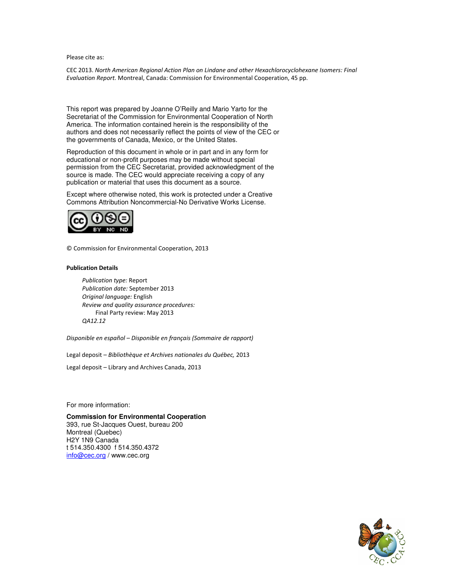Please cite as:

CEC 2013. *North American Regional Action Plan on Lindane and other Hexachlorocyclohexane Isomers: Final Evaluation Report.* Montreal, Canada: Commission for Environmental Cooperation, 45 pp.

This report was prepared by Joanne O'Reilly and Mario Yarto for the Secretariat of the Commission for Environmental Cooperation of North America. The information contained herein is the responsibility of the authors and does not necessarily reflect the points of view of the CEC or the governments of Canada, Mexico, or the United States.

Reproduction of this document in whole or in part and in any form for educational or non-profit purposes may be made without special permission from the CEC Secretariat, provided acknowledgment of the source is made. The CEC would appreciate receiving a copy of any publication or material that uses this document as a source.

Except where otherwise noted, this work is protected under a Creative Commons Attribution Noncommercial-No Derivative Works License.



© Commission for Environmental Cooperation, 2013

#### **Publication Details**

*Publication type:* Report *Publication date:* September 2013 *Original language:* English *Review and quality assurance procedures:*  Final Party review: May 2013 *QA12.12* 

*Disponible en español – Disponible en français (Sommaire de rapport)* 

Legal deposit – *Bibliothèque et Archives nationales du Québec,* 2013

Legal deposit – Library and Archives Canada, 2013

For more information:

## **Commission for Environmental Cooperation**

393, rue St-Jacques Ouest, bureau 200 Montreal (Quebec) H2Y 1N9 Canada t 514.350.4300 f 514.350.4372 info@cec.org / www.cec.org

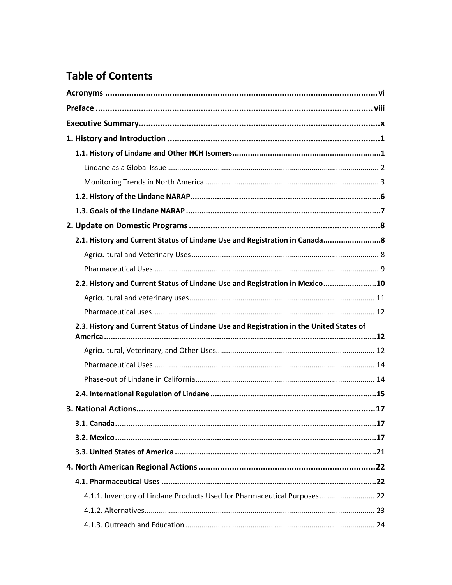## **Table of Contents**

| 2.1. History and Current Status of Lindane Use and Registration in Canada 8             |  |
|-----------------------------------------------------------------------------------------|--|
|                                                                                         |  |
|                                                                                         |  |
| 2.2. History and Current Status of Lindane Use and Registration in Mexico10             |  |
|                                                                                         |  |
|                                                                                         |  |
| 2.3. History and Current Status of Lindane Use and Registration in the United States of |  |
|                                                                                         |  |
|                                                                                         |  |
|                                                                                         |  |
|                                                                                         |  |
|                                                                                         |  |
|                                                                                         |  |
|                                                                                         |  |
|                                                                                         |  |
|                                                                                         |  |
|                                                                                         |  |
|                                                                                         |  |
| 4.1.1. Inventory of Lindane Products Used for Pharmaceutical Purposes 22                |  |
|                                                                                         |  |
|                                                                                         |  |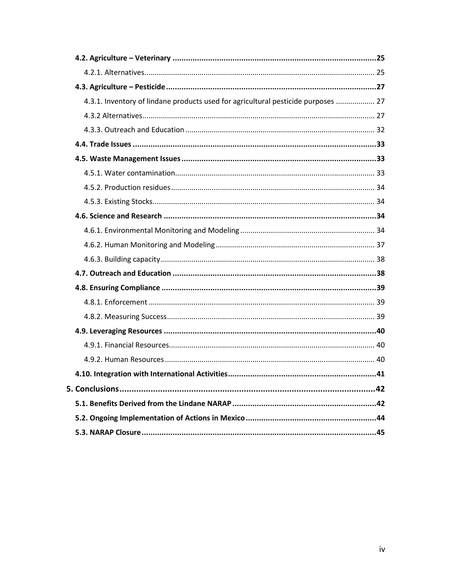| 4.3.1. Inventory of lindane products used for agricultural pesticide purposes  27 |  |
|-----------------------------------------------------------------------------------|--|
|                                                                                   |  |
|                                                                                   |  |
|                                                                                   |  |
|                                                                                   |  |
|                                                                                   |  |
|                                                                                   |  |
|                                                                                   |  |
|                                                                                   |  |
|                                                                                   |  |
|                                                                                   |  |
|                                                                                   |  |
|                                                                                   |  |
|                                                                                   |  |
|                                                                                   |  |
|                                                                                   |  |
|                                                                                   |  |
|                                                                                   |  |
|                                                                                   |  |
|                                                                                   |  |
|                                                                                   |  |
|                                                                                   |  |
|                                                                                   |  |
|                                                                                   |  |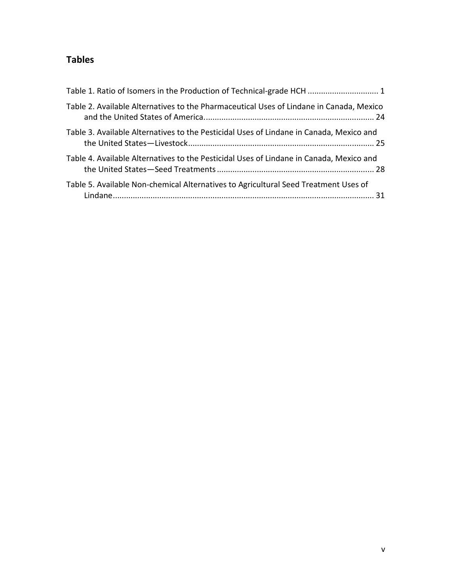## **Tables**

| Table 1. Ratio of Isomers in the Production of Technical-grade HCH  1                   |
|-----------------------------------------------------------------------------------------|
| Table 2. Available Alternatives to the Pharmaceutical Uses of Lindane in Canada, Mexico |
| Table 3. Available Alternatives to the Pesticidal Uses of Lindane in Canada, Mexico and |
| Table 4. Available Alternatives to the Pesticidal Uses of Lindane in Canada, Mexico and |
| Table 5. Available Non-chemical Alternatives to Agricultural Seed Treatment Uses of     |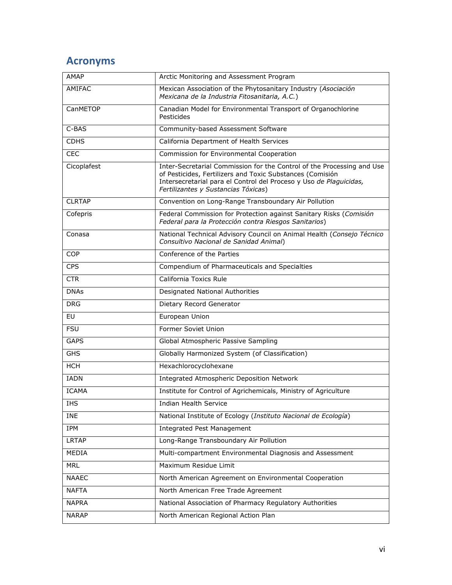## **Acronyms**

| <b>AMAP</b>                                                                                                                                                                                                                                                     | Arctic Monitoring and Assessment Program                                                                                    |  |
|-----------------------------------------------------------------------------------------------------------------------------------------------------------------------------------------------------------------------------------------------------------------|-----------------------------------------------------------------------------------------------------------------------------|--|
| AMIFAC                                                                                                                                                                                                                                                          | Mexican Association of the Phytosanitary Industry (Asociación<br>Mexicana de la Industria Fitosanitaria, A.C.)              |  |
| CanMETOP                                                                                                                                                                                                                                                        | Canadian Model for Environmental Transport of Organochlorine<br>Pesticides                                                  |  |
| C-BAS                                                                                                                                                                                                                                                           | Community-based Assessment Software                                                                                         |  |
| <b>CDHS</b>                                                                                                                                                                                                                                                     | California Department of Health Services                                                                                    |  |
| <b>CEC</b>                                                                                                                                                                                                                                                      | Commission for Environmental Cooperation                                                                                    |  |
| Inter-Secretarial Commission for the Control of the Processing and Use<br>Cicoplafest<br>of Pesticides, Fertilizers and Toxic Substances (Comisión<br>Intersecretarial para el Control del Proceso y Uso de Plaguicidas,<br>Fertilizantes y Sustancias Tóxicas) |                                                                                                                             |  |
| <b>CLRTAP</b>                                                                                                                                                                                                                                                   | Convention on Long-Range Transboundary Air Pollution                                                                        |  |
| Cofepris                                                                                                                                                                                                                                                        | Federal Commission for Protection against Sanitary Risks (Comisión<br>Federal para la Protección contra Riesgos Sanitarios) |  |
| Conasa                                                                                                                                                                                                                                                          | National Technical Advisory Council on Animal Health (Consejo Técnico<br>Consultivo Nacional de Sanidad Animal)             |  |
| <b>COP</b>                                                                                                                                                                                                                                                      | Conference of the Parties                                                                                                   |  |
| <b>CPS</b>                                                                                                                                                                                                                                                      | Compendium of Pharmaceuticals and Specialties                                                                               |  |
| <b>CTR</b>                                                                                                                                                                                                                                                      | California Toxics Rule                                                                                                      |  |
| <b>DNAs</b>                                                                                                                                                                                                                                                     | Designated National Authorities                                                                                             |  |
| <b>DRG</b>                                                                                                                                                                                                                                                      | Dietary Record Generator                                                                                                    |  |
| EU                                                                                                                                                                                                                                                              | European Union                                                                                                              |  |
| <b>FSU</b>                                                                                                                                                                                                                                                      | Former Soviet Union                                                                                                         |  |
| <b>GAPS</b>                                                                                                                                                                                                                                                     | Global Atmospheric Passive Sampling                                                                                         |  |
| <b>GHS</b>                                                                                                                                                                                                                                                      | Globally Harmonized System (of Classification)                                                                              |  |
| <b>HCH</b>                                                                                                                                                                                                                                                      | Hexachlorocyclohexane                                                                                                       |  |
| <b>IADN</b>                                                                                                                                                                                                                                                     | Integrated Atmospheric Deposition Network                                                                                   |  |
| <b>ICAMA</b>                                                                                                                                                                                                                                                    | Institute for Control of Agrichemicals, Ministry of Agriculture                                                             |  |
| IHS                                                                                                                                                                                                                                                             | Indian Health Service                                                                                                       |  |
| <b>INE</b>                                                                                                                                                                                                                                                      | National Institute of Ecology (Instituto Nacional de Ecología)                                                              |  |
| IPM                                                                                                                                                                                                                                                             | <b>Integrated Pest Management</b>                                                                                           |  |
| <b>LRTAP</b>                                                                                                                                                                                                                                                    | Long-Range Transboundary Air Pollution                                                                                      |  |
| MEDIA                                                                                                                                                                                                                                                           | Multi-compartment Environmental Diagnosis and Assessment                                                                    |  |
| <b>MRL</b>                                                                                                                                                                                                                                                      | Maximum Residue Limit                                                                                                       |  |
| <b>NAAEC</b>                                                                                                                                                                                                                                                    | North American Agreement on Environmental Cooperation                                                                       |  |
| <b>NAFTA</b>                                                                                                                                                                                                                                                    | North American Free Trade Agreement                                                                                         |  |
| <b>NAPRA</b>                                                                                                                                                                                                                                                    | National Association of Pharmacy Regulatory Authorities                                                                     |  |
| <b>NARAP</b>                                                                                                                                                                                                                                                    | North American Regional Action Plan                                                                                         |  |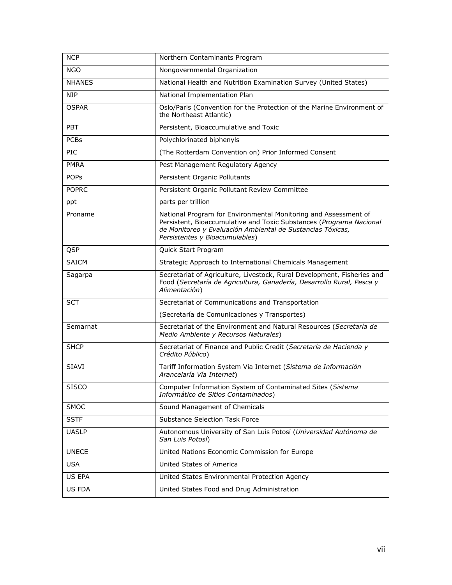| <b>NCP</b>    | Northern Contaminants Program                                                                                                                                                                                                          |  |
|---------------|----------------------------------------------------------------------------------------------------------------------------------------------------------------------------------------------------------------------------------------|--|
| <b>NGO</b>    | Nongovernmental Organization                                                                                                                                                                                                           |  |
| <b>NHANES</b> | National Health and Nutrition Examination Survey (United States)                                                                                                                                                                       |  |
| <b>NIP</b>    | National Implementation Plan                                                                                                                                                                                                           |  |
| <b>OSPAR</b>  | Oslo/Paris (Convention for the Protection of the Marine Environment of<br>the Northeast Atlantic)                                                                                                                                      |  |
| <b>PBT</b>    | Persistent, Bioaccumulative and Toxic                                                                                                                                                                                                  |  |
| <b>PCBs</b>   | Polychlorinated biphenyls                                                                                                                                                                                                              |  |
| PIC           | (The Rotterdam Convention on) Prior Informed Consent                                                                                                                                                                                   |  |
| <b>PMRA</b>   | Pest Management Regulatory Agency                                                                                                                                                                                                      |  |
| <b>POPS</b>   | Persistent Organic Pollutants                                                                                                                                                                                                          |  |
| <b>POPRC</b>  | Persistent Organic Pollutant Review Committee                                                                                                                                                                                          |  |
| ppt           | parts per trillion                                                                                                                                                                                                                     |  |
| Proname       | National Program for Environmental Monitoring and Assessment of<br>Persistent, Bioaccumulative and Toxic Substances (Programa Nacional<br>de Monitoreo y Evaluación Ambiental de Sustancias Tóxicas,<br>Persistentes y Bioacumulables) |  |
| QSP           | Quick Start Program                                                                                                                                                                                                                    |  |
| <b>SAICM</b>  | Strategic Approach to International Chemicals Management                                                                                                                                                                               |  |
| Sagarpa       | Secretariat of Agriculture, Livestock, Rural Development, Fisheries and<br>Food (Secretaría de Agricultura, Ganadería, Desarrollo Rural, Pesca y<br>Alimentación)                                                                      |  |
| <b>SCT</b>    | Secretariat of Communications and Transportation                                                                                                                                                                                       |  |
|               | (Secretaría de Comunicaciones y Transportes)                                                                                                                                                                                           |  |
| Semarnat      | Secretariat of the Environment and Natural Resources (Secretaría de<br>Medio Ambiente y Recursos Naturales)                                                                                                                            |  |
| <b>SHCP</b>   | Secretariat of Finance and Public Credit (Secretaría de Hacienda y<br>Crédito Público)                                                                                                                                                 |  |
| <b>SIAVI</b>  | Tariff Information System Via Internet (Sistema de Información<br>Arancelaría Vía Internet)                                                                                                                                            |  |
| <b>SISCO</b>  | Computer Information System of Contaminated Sites (Sistema<br>Informático de Sitios Contaminados)                                                                                                                                      |  |
| <b>SMOC</b>   | Sound Management of Chemicals                                                                                                                                                                                                          |  |
| <b>SSTF</b>   | Substance Selection Task Force                                                                                                                                                                                                         |  |
| <b>UASLP</b>  | Autonomous University of San Luis Potosí (Universidad Autónoma de<br>San Luis Potosí)                                                                                                                                                  |  |
| <b>UNECE</b>  | United Nations Economic Commission for Europe                                                                                                                                                                                          |  |
| <b>USA</b>    | United States of America                                                                                                                                                                                                               |  |
| US EPA        | United States Environmental Protection Agency                                                                                                                                                                                          |  |
| US FDA        | United States Food and Drug Administration                                                                                                                                                                                             |  |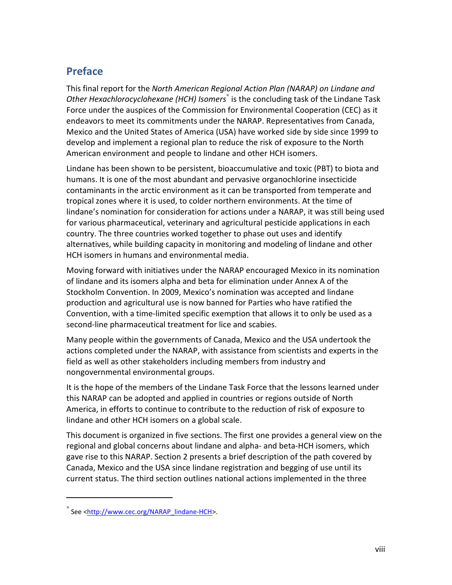## **Preface**

This final report for the *North American Regional Action Plan (NARAP) on Lindane and Other Hexachlorocyclohexane (HCH) Isomers*\* is the concluding task of the Lindane Task Force under the auspices of the Commission for Environmental Cooperation (CEC) as it endeavors to meet its commitments under the NARAP. Representatives from Canada, Mexico and the United States of America (USA) have worked side by side since 1999 to develop and implement a regional plan to reduce the risk of exposure to the North American environment and people to lindane and other HCH isomers.

Lindane has been shown to be persistent, bioaccumulative and toxic (PBT) to biota and humans. It is one of the most abundant and pervasive organochlorine insecticide contaminants in the arctic environment as it can be transported from temperate and tropical zones where it is used, to colder northern environments. At the time of lindane's nomination for consideration for actions under a NARAP, it was still being used for various pharmaceutical, veterinary and agricultural pesticide applications in each country. The three countries worked together to phase out uses and identify alternatives, while building capacity in monitoring and modeling of lindane and other HCH isomers in humans and environmental media.

Moving forward with initiatives under the NARAP encouraged Mexico in its nomination of lindane and its isomers alpha and beta for elimination under Annex A of the Stockholm Convention. In 2009, Mexico's nomination was accepted and lindane production and agricultural use is now banned for Parties who have ratified the Convention, with a time-limited specific exemption that allows it to only be used as a second-line pharmaceutical treatment for lice and scabies.

Many people within the governments of Canada, Mexico and the USA undertook the actions completed under the NARAP, with assistance from scientists and experts in the field as well as other stakeholders including members from industry and nongovernmental environmental groups.

It is the hope of the members of the Lindane Task Force that the lessons learned under this NARAP can be adopted and applied in countries or regions outside of North America, in efforts to continue to contribute to the reduction of risk of exposure to lindane and other HCH isomers on a global scale.

This document is organized in five sections. The first one provides a general view on the regional and global concerns about lindane and alpha- and beta-HCH isomers, which gave rise to this NARAP. Section 2 presents a brief description of the path covered by Canada, Mexico and the USA since lindane registration and begging of use until its current status. The third section outlines national actions implemented in the three

l

<sup>\*</sup> See <http://www.cec.org/NARAP\_lindane-HCH>.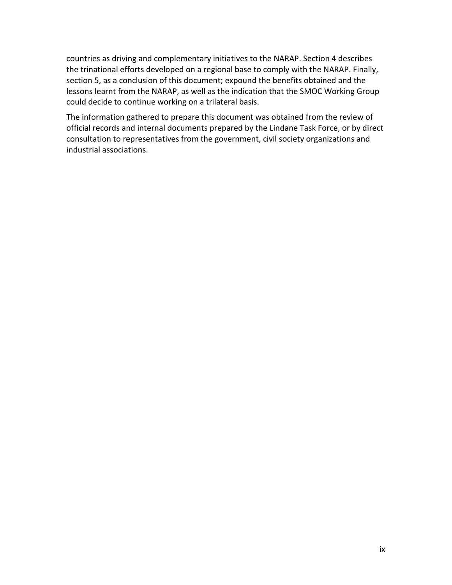countries as driving and complementary initiatives to the NARAP. Section 4 describes the trinational efforts developed on a regional base to comply with the NARAP. Finally, section 5, as a conclusion of this document; expound the benefits obtained and the lessons learnt from the NARAP, as well as the indication that the SMOC Working Group could decide to continue working on a trilateral basis.

The information gathered to prepare this document was obtained from the review of official records and internal documents prepared by the Lindane Task Force, or by direct consultation to representatives from the government, civil society organizations and industrial associations.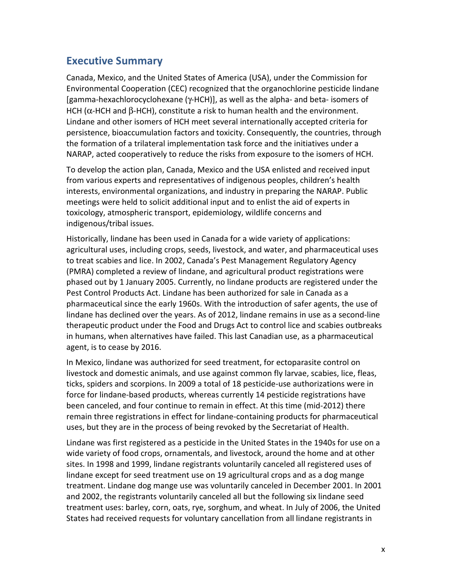## **Executive Summary**

Canada, Mexico, and the United States of America (USA), under the Commission for Environmental Cooperation (CEC) recognized that the organochlorine pesticide lindane [gamma-hexachlorocyclohexane (γ-HCH)], as well as the alpha- and beta- isomers of HCH ( $\alpha$ -HCH and  $\beta$ -HCH), constitute a risk to human health and the environment. Lindane and other isomers of HCH meet several internationally accepted criteria for persistence, bioaccumulation factors and toxicity. Consequently, the countries, through the formation of a trilateral implementation task force and the initiatives under a NARAP, acted cooperatively to reduce the risks from exposure to the isomers of HCH.

To develop the action plan, Canada, Mexico and the USA enlisted and received input from various experts and representatives of indigenous peoples, children's health interests, environmental organizations, and industry in preparing the NARAP. Public meetings were held to solicit additional input and to enlist the aid of experts in toxicology, atmospheric transport, epidemiology, wildlife concerns and indigenous/tribal issues.

Historically, lindane has been used in Canada for a wide variety of applications: agricultural uses, including crops, seeds, livestock, and water, and pharmaceutical uses to treat scabies and lice. In 2002, Canada's Pest Management Regulatory Agency (PMRA) completed a review of lindane, and agricultural product registrations were phased out by 1 January 2005. Currently, no lindane products are registered under the Pest Control Products Act. Lindane has been authorized for sale in Canada as a pharmaceutical since the early 1960s. With the introduction of safer agents, the use of lindane has declined over the years. As of 2012, lindane remains in use as a second-line therapeutic product under the Food and Drugs Act to control lice and scabies outbreaks in humans, when alternatives have failed. This last Canadian use, as a pharmaceutical agent, is to cease by 2016.

In Mexico, lindane was authorized for seed treatment, for ectoparasite control on livestock and domestic animals, and use against common fly larvae, scabies, lice, fleas, ticks, spiders and scorpions. In 2009 a total of 18 pesticide-use authorizations were in force for lindane-based products, whereas currently 14 pesticide registrations have been canceled, and four continue to remain in effect. At this time (mid-2012) there remain three registrations in effect for lindane-containing products for pharmaceutical uses, but they are in the process of being revoked by the Secretariat of Health.

Lindane was first registered as a pesticide in the United States in the 1940s for use on a wide variety of food crops, ornamentals, and livestock, around the home and at other sites. In 1998 and 1999, lindane registrants voluntarily canceled all registered uses of lindane except for seed treatment use on 19 agricultural crops and as a dog mange treatment. Lindane dog mange use was voluntarily canceled in December 2001. In 2001 and 2002, the registrants voluntarily canceled all but the following six lindane seed treatment uses: barley, corn, oats, rye, sorghum, and wheat. In July of 2006, the United States had received requests for voluntary cancellation from all lindane registrants in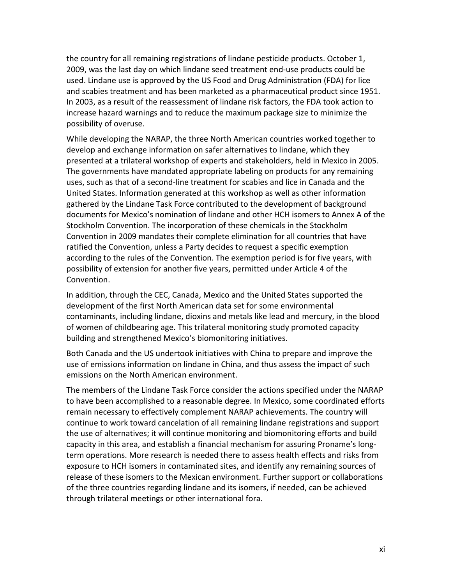the country for all remaining registrations of lindane pesticide products. October 1, 2009, was the last day on which lindane seed treatment end-use products could be used. Lindane use is approved by the US Food and Drug Administration (FDA) for lice and scabies treatment and has been marketed as a pharmaceutical product since 1951. In 2003, as a result of the reassessment of lindane risk factors, the FDA took action to increase hazard warnings and to reduce the maximum package size to minimize the possibility of overuse.

While developing the NARAP, the three North American countries worked together to develop and exchange information on safer alternatives to lindane, which they presented at a trilateral workshop of experts and stakeholders, held in Mexico in 2005. The governments have mandated appropriate labeling on products for any remaining uses, such as that of a second-line treatment for scabies and lice in Canada and the United States. Information generated at this workshop as well as other information gathered by the Lindane Task Force contributed to the development of background documents for Mexico's nomination of lindane and other HCH isomers to Annex A of the Stockholm Convention. The incorporation of these chemicals in the Stockholm Convention in 2009 mandates their complete elimination for all countries that have ratified the Convention, unless a Party decides to request a specific exemption according to the rules of the Convention. The exemption period is for five years, with possibility of extension for another five years, permitted under Article 4 of the Convention.

In addition, through the CEC, Canada, Mexico and the United States supported the development of the first North American data set for some environmental contaminants, including lindane, dioxins and metals like lead and mercury, in the blood of women of childbearing age. This trilateral monitoring study promoted capacity building and strengthened Mexico's biomonitoring initiatives.

Both Canada and the US undertook initiatives with China to prepare and improve the use of emissions information on lindane in China, and thus assess the impact of such emissions on the North American environment.

The members of the Lindane Task Force consider the actions specified under the NARAP to have been accomplished to a reasonable degree. In Mexico, some coordinated efforts remain necessary to effectively complement NARAP achievements. The country will continue to work toward cancelation of all remaining lindane registrations and support the use of alternatives; it will continue monitoring and biomonitoring efforts and build capacity in this area, and establish a financial mechanism for assuring Proname's longterm operations. More research is needed there to assess health effects and risks from exposure to HCH isomers in contaminated sites, and identify any remaining sources of release of these isomers to the Mexican environment. Further support or collaborations of the three countries regarding lindane and its isomers, if needed, can be achieved through trilateral meetings or other international fora.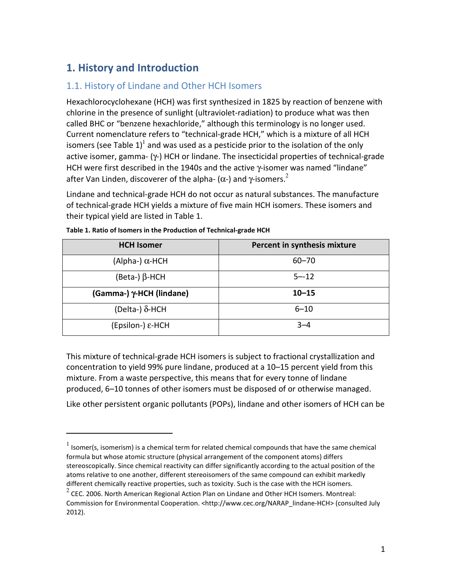## **1. History and Introduction**

.

## 1.1. History of Lindane and Other HCH Isomers

Hexachlorocyclohexane (HCH) was first synthesized in 1825 by reaction of benzene with chlorine in the presence of sunlight (ultraviolet-radiation) to produce what was then called BHC or "benzene hexachloride," although this terminology is no longer used. Current nomenclature refers to "technical-grade HCH," which is a mixture of all HCH isomers (see Table 1)<sup>1</sup> and was used as a pesticide prior to the isolation of the only active isomer, gamma- (γ-) HCH or lindane. The insecticidal properties of technical-grade HCH were first described in the 1940s and the active γ-isomer was named "lindane" after Van Linden, discoverer of the alpha-  $(α-)$  and γ-isomers.<sup>2</sup>

Lindane and technical-grade HCH do not occur as natural substances. The manufacture of technical-grade HCH yields a mixture of five main HCH isomers. These isomers and their typical yield are listed in Table 1.

| <b>HCH Isomer</b>        | Percent in synthesis mixture |  |
|--------------------------|------------------------------|--|
| (Alpha-) $\alpha$ -HCH   | $60 - 70$                    |  |
| $(Beta-)$ $\beta$ -HCH   | $5 - 12$                     |  |
| (Gamma-) γ-HCH (lindane) | $10 - 15$                    |  |
| (Delta-) $\delta$ -HCH   | $6 - 10$                     |  |
| (Epsilon-) ε-HCH         | $3 - 4$                      |  |

This mixture of technical-grade HCH isomers is subject to fractional crystallization and concentration to yield 99% pure lindane, produced at a 10–15 percent yield from this mixture. From a waste perspective, this means that for every tonne of lindane produced, 6–10 tonnes of other isomers must be disposed of or otherwise managed.

Like other persistent organic pollutants (POPs), lindane and other isomers of HCH can be

 $<sup>1</sup>$  Isomer(s, isomerism) is a chemical term for related chemical compounds that have the same chemical</sup> formula but whose atomic structure (physical arrangement of the component atoms) differs stereoscopically. Since chemical reactivity can differ significantly according to the actual position of the atoms relative to one another, different stereoisomers of the same compound can exhibit markedly different chemically reactive properties, such as toxicity. Such is the case with the HCH isomers.

 $^{2}$  CEC. 2006. North American Regional Action Plan on Lindane and Other HCH Isomers. Montreal: Commission for Environmental Cooperation. <http://www.cec.org/NARAP\_lindane-HCH> (consulted July 2012).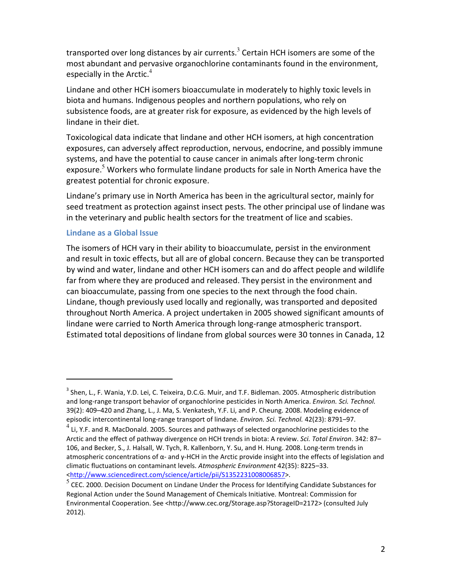transported over long distances by air currents.<sup>3</sup> Certain HCH isomers are some of the most abundant and pervasive organochlorine contaminants found in the environment, especially in the Arctic. $4$ 

Lindane and other HCH isomers bioaccumulate in moderately to highly toxic levels in biota and humans. Indigenous peoples and northern populations, who rely on subsistence foods, are at greater risk for exposure, as evidenced by the high levels of lindane in their diet.

Toxicological data indicate that lindane and other HCH isomers, at high concentration exposures, can adversely affect reproduction, nervous, endocrine, and possibly immune systems, and have the potential to cause cancer in animals after long-term chronic exposure.<sup>5</sup> Workers who formulate lindane products for sale in North America have the greatest potential for chronic exposure.

Lindane's primary use in North America has been in the agricultural sector, mainly for seed treatment as protection against insect pests. The other principal use of lindane was in the veterinary and public health sectors for the treatment of lice and scabies.

#### **Lindane as a Global Issue**

.

The isomers of HCH vary in their ability to bioaccumulate, persist in the environment and result in toxic effects, but all are of global concern. Because they can be transported by wind and water, lindane and other HCH isomers can and do affect people and wildlife far from where they are produced and released. They persist in the environment and can bioaccumulate, passing from one species to the next through the food chain. Lindane, though previously used locally and regionally, was transported and deposited throughout North America. A project undertaken in 2005 showed significant amounts of lindane were carried to North America through long-range atmospheric transport. Estimated total depositions of lindane from global sources were 30 tonnes in Canada, 12

<sup>&</sup>lt;sup>3</sup> Shen, L., F. Wania, Y.D. Lei, C. Teixeira, D.C.G. Muir, and T.F. Bidleman. 2005. Atmospheric distribution and long-range transport behavior of organochlorine pesticides in North America. *Environ. Sci. Technol.* 39(2): 409–420 and Zhang, L., J. Ma, S. Venkatesh, Y.F. Li, and P. Cheung. 2008. Modeling evidence of episodic intercontinental long-range transport of lindane. *Environ. Sci. Technol.* 42(23): 8791–97.

<sup>&</sup>lt;sup>4</sup><br>Li, Y.F. and R. MacDonald. 2005. Sources and pathways of selected organochlorine pesticides to the Arctic and the effect of pathway divergence on HCH trends in biota: A review. *Sci. Total Environ*. 342: 87– 106, and Becker, S., J. Halsall, W. Tych, R. Kallenborn, Y. Su, and H. Hung. 2008. Long-term trends in atmospheric concentrations of  $\alpha$ - and y-HCH in the Arctic provide insight into the effects of legislation and climatic fluctuations on contaminant levels. *Atmospheric Environment* 42(35): 8225–33. <http://www.sciencedirect.com/science/article/pii/S1352231008006857>.

 $5\overline{\text{CEC}}$ . 2000. Decision Document on Lindane Under the Process for Identifying Candidate Substances for Regional Action under the Sound Management of Chemicals Initiative. Montreal: Commission for Environmental Cooperation. See <http://www.cec.org/Storage.asp?StorageID=2172> (consulted July 2012).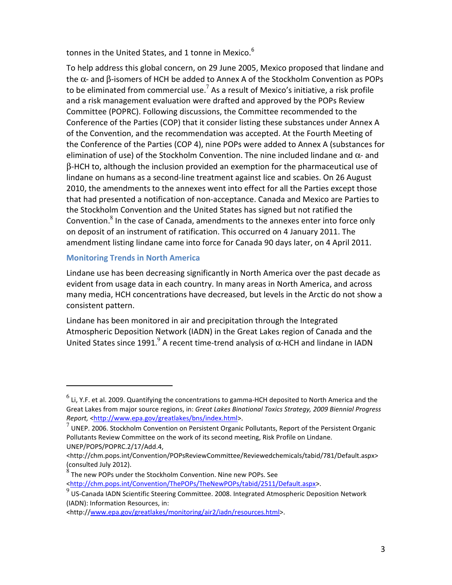tonnes in the United States, and 1 tonne in Mexico.<sup>6</sup>

To help address this global concern, on 29 June 2005, Mexico proposed that lindane and the α- and β-isomers of HCH be added to Annex A of the Stockholm Convention as POPs to be eliminated from commercial use.<sup>7</sup> As a result of Mexico's initiative, a risk profile and a risk management evaluation were drafted and approved by the POPs Review Committee (POPRC). Following discussions, the Committee recommended to the Conference of the Parties (COP) that it consider listing these substances under Annex A of the Convention, and the recommendation was accepted. At the Fourth Meeting of the Conference of the Parties (COP 4), nine POPs were added to Annex A (substances for elimination of use) of the Stockholm Convention. The nine included lindane and α- and β-HCH to, although the inclusion provided an exemption for the pharmaceutical use of lindane on humans as a second-line treatment against lice and scabies. On 26 August 2010, the amendments to the annexes went into effect for all the Parties except those that had presented a notification of non-acceptance. Canada and Mexico are Parties to the Stockholm Convention and the United States has signed but not ratified the Convention. $8$  In the case of Canada, amendments to the annexes enter into force only on deposit of an instrument of ratification. This occurred on 4 January 2011. The amendment listing lindane came into force for Canada 90 days later, on 4 April 2011.

#### **Monitoring Trends in North America**

.

Lindane use has been decreasing significantly in North America over the past decade as evident from usage data in each country. In many areas in North America, and across many media, HCH concentrations have decreased, but levels in the Arctic do not show a consistent pattern.

Lindane has been monitored in air and precipitation through the Integrated Atmospheric Deposition Network (IADN) in the Great Lakes region of Canada and the United States since 1991. A recent time-trend analysis of  $\alpha$ -HCH and lindane in IADN

 $^6$  Li, Y.F. et al. 2009. Quantifying the concentrations to gamma-HCH deposited to North America and the Great Lakes from major source regions, in: *Great Lakes Binational Toxics Strategy, 2009 Biennial Progress*  Report, <http://www.epa.gov/greatlakes/bns/index.html>.

<sup>7</sup> UNEP. 2006. Stockholm Convention on Persistent Organic Pollutants, Report of the Persistent Organic Pollutants Review Committee on the work of its second meeting, Risk Profile on Lindane. UNEP/POPS/POPRC.2/17/Add.4,

<sup>&</sup>lt;http://chm.pops.int/Convention/POPsReviewCommittee/Reviewedchemicals/tabid/781/Default.aspx> (consulted July 2012).

 $^8$  The new POPs under the Stockholm Convention. Nine new POPs. See <http://chm.pops.int/Convention/ThePOPs/TheNewPOPs/tabid/2511/Default.aspx>.

<sup>9&</sup>lt;br>US-Canada IADN Scientific Steering Committee. 2008. Integrated Atmospheric Deposition Network (IADN): Information Resources, in:

<sup>&</sup>lt;http://www.epa.gov/greatlakes/monitoring/air2/iadn/resources.html>.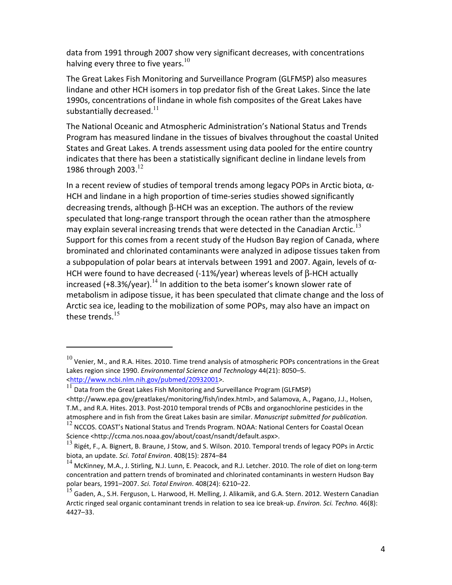data from 1991 through 2007 show very significant decreases, with concentrations halving every three to five years.<sup>10</sup>

The Great Lakes Fish Monitoring and Surveillance Program (GLFMSP) also measures lindane and other HCH isomers in top predator fish of the Great Lakes. Since the late 1990s, concentrations of lindane in whole fish composites of the Great Lakes have substantially decreased. $11$ 

The National Oceanic and Atmospheric Administration's National Status and Trends Program has measured lindane in the tissues of bivalves throughout the coastal United States and Great Lakes. A trends assessment using data pooled for the entire country indicates that there has been a statistically significant decline in lindane levels from 1986 through 2003. $^{12}$ 

In a recent review of studies of temporal trends among legacy POPs in Arctic biota,  $\alpha$ -HCH and lindane in a high proportion of time-series studies showed significantly decreasing trends, although β-HCH was an exception. The authors of the review speculated that long-range transport through the ocean rather than the atmosphere may explain several increasing trends that were detected in the Canadian Arctic.<sup>13</sup> Support for this comes from a recent study of the Hudson Bay region of Canada, where brominated and chlorinated contaminants were analyzed in adipose tissues taken from a subpopulation of polar bears at intervals between 1991 and 2007. Again, levels of  $\alpha$ -HCH were found to have decreased (-11%/year) whereas levels of β-HCH actually increased (+8.3%/year).<sup>14</sup> In addition to the beta isomer's known slower rate of metabolism in adipose tissue, it has been speculated that climate change and the loss of Arctic sea ice, leading to the mobilization of some POPs, may also have an impact on these trends.<sup>15</sup>

.

 $10$  Venier, M., and R.A. Hites. 2010. Time trend analysis of atmospheric POPs concentrations in the Great Lakes region since 1990. *Environmental Science and Technology* 44(21): 8050–5. <http://www.ncbi.nlm.nih.gov/pubmed/20932001>.

 $11$  Data from the Great Lakes Fish Monitoring and Surveillance Program (GLFMSP)

<sup>&</sup>lt;http://www.epa.gov/greatlakes/monitoring/fish/index.html>, and Salamova, A., Pagano, J.J., Holsen, T.M., and R.A. Hites. 2013. Post-2010 temporal trends of PCBs and organochlorine pesticides in the atmosphere and in fish from the Great Lakes basin are similar. *Manuscript submitted for publication.*

 $12$  NCCOS. COAST's National Status and Trends Program. NOAA: National Centers for Coastal Ocean Science <http://ccma.nos.noaa.gov/about/coast/nsandt/default.aspx>.

 $^{13}$  Rigét, F., A. Bignert, B. Braune, J Stow, and S. Wilson. 2010. Temporal trends of legacy POPs in Arctic biota, an update. *Sci. Total Environ*. 408(15): 2874–84

<sup>&</sup>lt;sup>14</sup> McKinney, M.A., J. Stirling, N.J. Lunn, E. Peacock, and R.J. Letcher. 2010. The role of diet on long-term concentration and pattern trends of brominated and chlorinated contaminants in western Hudson Bay polar bears, 1991–2007. *Sci. Total Environ*. 408(24): 6210–22.

<sup>&</sup>lt;sup>15</sup> Gaden, A., S.H. Ferguson, L. Harwood, H. Melling, J. Alikamik, and G.A. Stern. 2012. Western Canadian Arctic ringed seal organic contaminant trends in relation to sea ice break-up. *Environ. Sci. Techno.* 46(8): 4427–33.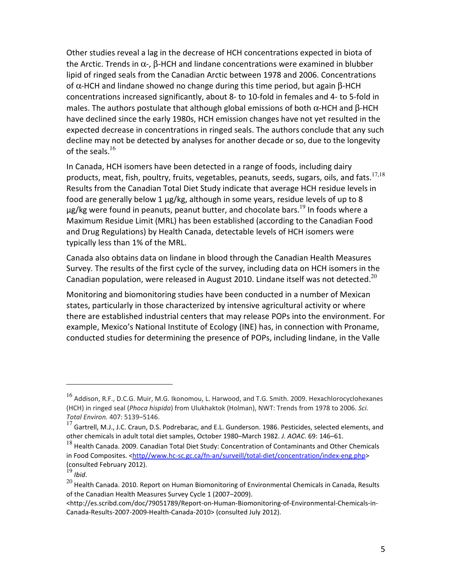Other studies reveal a lag in the decrease of HCH concentrations expected in biota of the Arctic. Trends in  $\alpha$ -,  $\beta$ -HCH and lindane concentrations were examined in blubber lipid of ringed seals from the Canadian Arctic between 1978 and 2006. Concentrations of α-HCH and lindane showed no change during this time period, but again β-HCH concentrations increased significantly, about 8- to 10-fold in females and 4- to 5-fold in males. The authors postulate that although global emissions of both  $\alpha$ -HCH and  $\beta$ -HCH have declined since the early 1980s, HCH emission changes have not yet resulted in the expected decrease in concentrations in ringed seals. The authors conclude that any such decline may not be detected by analyses for another decade or so, due to the longevity of the seals. $16$ 

In Canada, HCH isomers have been detected in a range of foods, including dairy products, meat, fish, poultry, fruits, vegetables, peanuts, seeds, sugars, oils, and fats.<sup>17,18</sup> Results from the Canadian Total Diet Study indicate that average HCH residue levels in food are generally below 1 µg/kg, although in some years, residue levels of up to 8  $\mu$ g/kg were found in peanuts, peanut butter, and chocolate bars.<sup>19</sup> In foods where a Maximum Residue Limit (MRL) has been established (according to the Canadian Food and Drug Regulations) by Health Canada, detectable levels of HCH isomers were typically less than 1% of the MRL.

Canada also obtains data on lindane in blood through the Canadian Health Measures Survey. The results of the first cycle of the survey, including data on HCH isomers in the Canadian population, were released in August 2010. Lindane itself was not detected.<sup>20</sup>

Monitoring and biomonitoring studies have been conducted in a number of Mexican states, particularly in those characterized by intensive agricultural activity or where there are established industrial centers that may release POPs into the environment. For example, Mexico's National Institute of Ecology (INE) has, in connection with Proname, conducted studies for determining the presence of POPs, including lindane, in the Valle

j

<sup>16</sup> Addison, R.F., D.C.G. Muir, M.G. Ikonomou, L. Harwood, and T.G. Smith. 2009. Hexachlorocyclohexanes (HCH) in ringed seal (*Phoca hispida*) from Ulukhaktok (Holman), NWT: Trends from 1978 to 2006. *Sci. Total Environ.* 407: 5139–5146.

 $^{17}$  Gartrell, M.J., J.C. Craun, D.S. Podrebarac, and E.L. Gunderson. 1986. Pesticides, selected elements, and other chemicals in adult total diet samples, October 1980–March 1982. *J. AOAC*. 69: 146–61.

<sup>&</sup>lt;sup>18</sup> Health Canada. 2009. Canadian Total Diet Study: Concentration of Contaminants and Other Chemicals in Food Composites. <http//www.hc-sc.gc.ca/fn-an/surveill/total-diet/concentration/index-eng.php> (consulted February 2012).

 $19$  *Ibid.* 

 $^{20}$  Health Canada. 2010. Report on Human Biomonitoring of Environmental Chemicals in Canada, Results of the Canadian Health Measures Survey Cycle 1 (2007–2009).

<sup>&</sup>lt;http://es.scribd.com/doc/79051789/Report-on-Human-Biomonitoring-of-Environmental-Chemicals-in-Canada-Results-2007-2009-Health-Canada-2010> (consulted July 2012).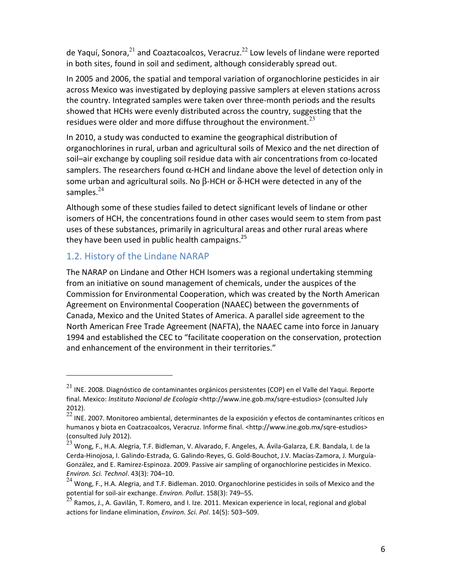de Yaquí, Sonora, $^{21}$  and Coaztacoalcos, Veracruz.<sup>22</sup> Low levels of lindane were reported in both sites, found in soil and sediment, although considerably spread out.

In 2005 and 2006, the spatial and temporal variation of organochlorine pesticides in air across Mexico was investigated by deploying passive samplers at eleven stations across the country. Integrated samples were taken over three-month periods and the results showed that HCHs were evenly distributed across the country, suggesting that the residues were older and more diffuse throughout the environment. $^{23}$ 

In 2010, a study was conducted to examine the geographical distribution of organochlorines in rural, urban and agricultural soils of Mexico and the net direction of soil–air exchange by coupling soil residue data with air concentrations from co-located samplers. The researchers found  $\alpha$ -HCH and lindane above the level of detection only in some urban and agricultural soils. No  $\beta$ -HCH or  $\delta$ -HCH were detected in any of the samples. $^{24}$ 

Although some of these studies failed to detect significant levels of lindane or other isomers of HCH, the concentrations found in other cases would seem to stem from past uses of these substances, primarily in agricultural areas and other rural areas where they have been used in public health campaigns. $^{25}$ 

## 1.2. History of the Lindane NARAP

.

The NARAP on Lindane and Other HCH Isomers was a regional undertaking stemming from an initiative on sound management of chemicals, under the auspices of the Commission for Environmental Cooperation, which was created by the North American Agreement on Environmental Cooperation (NAAEC) between the governments of Canada, Mexico and the United States of America. A parallel side agreement to the North American Free Trade Agreement (NAFTA), the NAAEC came into force in January 1994 and established the CEC to "facilitate cooperation on the conservation, protection and enhancement of the environment in their territories."

 $^{21}$  INE. 2008. Diagnóstico de contaminantes orgánicos persistentes (COP) en el Valle del Yaqui. Reporte final. Mexico: *Instituto Nacional de Ecología* <http://www.ine.gob.mx/sqre-estudios> (consulted July 2012).

 $^{22}$  INE. 2007. Monitoreo ambiental, determinantes de la exposición y efectos de contaminantes críticos en humanos y biota en Coatzacoalcos, Veracruz. Informe final. <http://www.ine.gob.mx/sqre-estudios> (consulted July 2012).

 $^{23}$  Wong, F., H.A. Alegria, T.F. Bidleman, V. Alvarado, F. Angeles, A. Ávila-Galarza, E.R. Bandala, I. de la Cerda-Hinojosa, I. Galindo-Estrada, G. Galindo-Reyes, G. Gold-Bouchot, J.V. Macías-Zamora, J. Murguía-González, and E. Ramirez-Espinoza. 2009. Passive air sampling of organochlorine pesticides in Mexico. *Environ. Sci. Technol*. 43(3): 704–10.

 $^{24}$  Wong, F., H.A. Alegria, and T.F. Bidleman. 2010. Organochlorine pesticides in soils of Mexico and the potential for soil-air exchange. *Environ. Pollut*. 158(3): 749–55.

 $25$  Ramos, J., A. Gavilán, T. Romero, and I. Ize. 2011. Mexican experience in local, regional and global actions for lindane elimination, *Environ. Sci. Pol*. 14(5): 503–509.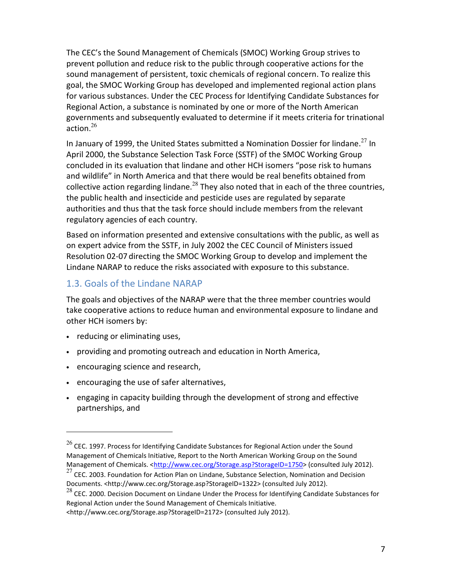The CEC's the Sound Management of Chemicals (SMOC) Working Group strives to prevent pollution and reduce risk to the public through cooperative actions for the sound management of persistent, toxic chemicals of regional concern. To realize this goal, the SMOC Working Group has developed and implemented regional action plans for various substances. Under the CEC Process for Identifying Candidate Substances for Regional Action, a substance is nominated by one or more of the North American governments and subsequently evaluated to determine if it meets criteria for trinational action. $26$ 

In January of 1999, the United States submitted a Nomination Dossier for lindane.<sup>27</sup> In April 2000, the Substance Selection Task Force (SSTF) of the SMOC Working Group concluded in its evaluation that lindane and other HCH isomers "pose risk to humans and wildlife" in North America and that there would be real benefits obtained from collective action regarding lindane.<sup>28</sup> They also noted that in each of the three countries, the public health and insecticide and pesticide uses are regulated by separate authorities and thus that the task force should include members from the relevant regulatory agencies of each country.

Based on information presented and extensive consultations with the public, as well as on expert advice from the SSTF, in July 2002 the CEC Council of Ministers issued Resolution 02-07 directing the SMOC Working Group to develop and implement the Lindane NARAP to reduce the risks associated with exposure to this substance.

## 1.3. Goals of the Lindane NARAP

The goals and objectives of the NARAP were that the three member countries would take cooperative actions to reduce human and environmental exposure to lindane and other HCH isomers by:

• reducing or eliminating uses,

.

- providing and promoting outreach and education in North America,
- encouraging science and research,
- encouraging the use of safer alternatives,
- engaging in capacity building through the development of strong and effective partnerships, and

 $^{26}$  CEC. 1997. Process for Identifying Candidate Substances for Regional Action under the Sound Management of Chemicals Initiative, Report to the North American Working Group on the Sound Management of Chemicals. <http://www.cec.org/Storage.asp?StorageID=1750> (consulted July 2012).

 $27$  CEC. 2003. Foundation for Action Plan on Lindane, Substance Selection, Nomination and Decision Documents. <http://www.cec.org/Storage.asp?StorageID=1322> (consulted July 2012).

 $^{28}$  CEC. 2000. Decision Document on Lindane Under the Process for Identifying Candidate Substances for Regional Action under the Sound Management of Chemicals Initiative.

<sup>&</sup>lt;http://www.cec.org/Storage.asp?StorageID=2172> (consulted July 2012).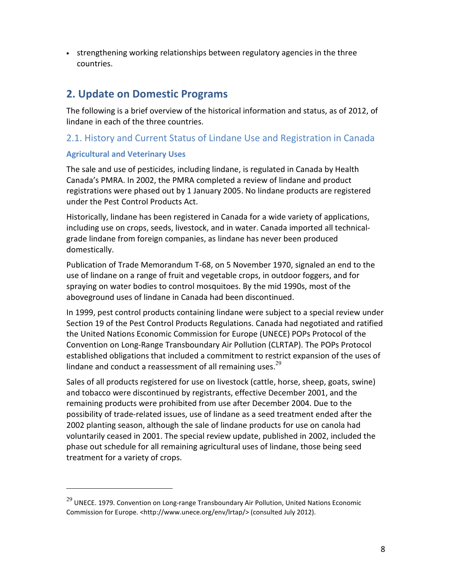• strengthening working relationships between regulatory agencies in the three countries.

## **2. Update on Domestic Programs**

The following is a brief overview of the historical information and status, as of 2012, of lindane in each of the three countries.

## 2.1. History and Current Status of Lindane Use and Registration in Canada

## **Agricultural and Veterinary Uses**

.

The sale and use of pesticides, including lindane, is regulated in Canada by Health Canada's PMRA. In 2002, the PMRA completed a review of lindane and product registrations were phased out by 1 January 2005. No lindane products are registered under the Pest Control Products Act.

Historically, lindane has been registered in Canada for a wide variety of applications, including use on crops, seeds, livestock, and in water. Canada imported all technicalgrade lindane from foreign companies, as lindane has never been produced domestically.

Publication of Trade Memorandum T-68, on 5 November 1970, signaled an end to the use of lindane on a range of fruit and vegetable crops, in outdoor foggers, and for spraying on water bodies to control mosquitoes. By the mid 1990s, most of the aboveground uses of lindane in Canada had been discontinued.

In 1999, pest control products containing lindane were subject to a special review under Section 19 of the Pest Control Products Regulations. Canada had negotiated and ratified the United Nations Economic Commission for Europe (UNECE) POPs Protocol of the Convention on Long-Range Transboundary Air Pollution (CLRTAP). The POPs Protocol established obligations that included a commitment to restrict expansion of the uses of lindane and conduct a reassessment of all remaining uses. $29$ 

Sales of all products registered for use on livestock (cattle, horse, sheep, goats, swine) and tobacco were discontinued by registrants, effective December 2001, and the remaining products were prohibited from use after December 2004. Due to the possibility of trade-related issues, use of lindane as a seed treatment ended after the 2002 planting season, although the sale of lindane products for use on canola had voluntarily ceased in 2001. The special review update, published in 2002, included the phase out schedule for all remaining agricultural uses of lindane, those being seed treatment for a variety of crops.

 $^{29}$  UNECE. 1979. Convention on Long-range Transboundary Air Pollution, United Nations Economic Commission for Europe. <http://www.unece.org/env/lrtap/> (consulted July 2012).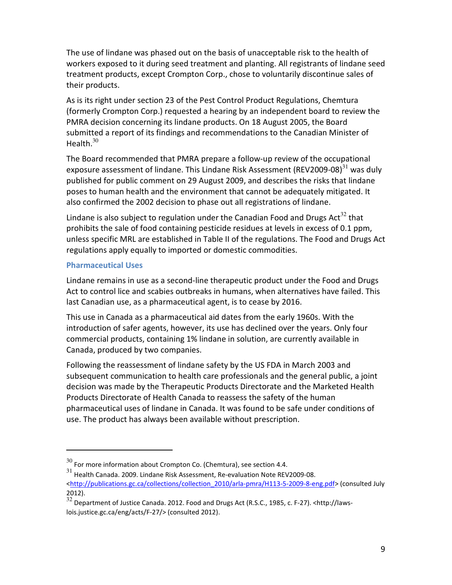The use of lindane was phased out on the basis of unacceptable risk to the health of workers exposed to it during seed treatment and planting. All registrants of lindane seed treatment products, except Crompton Corp., chose to voluntarily discontinue sales of their products.

As is its right under section 23 of the Pest Control Product Regulations, Chemtura (formerly Crompton Corp.) requested a hearing by an independent board to review the PMRA decision concerning its lindane products. On 18 August 2005, the Board submitted a report of its findings and recommendations to the Canadian Minister of Health. $30$ 

The Board recommended that PMRA prepare a follow-up review of the occupational exposure assessment of lindane. This Lindane Risk Assessment (REV2009-08) $^{31}$  was duly published for public comment on 29 August 2009, and describes the risks that lindane poses to human health and the environment that cannot be adequately mitigated. It also confirmed the 2002 decision to phase out all registrations of lindane.

Lindane is also subject to regulation under the Canadian Food and Drugs Act<sup>32</sup> that prohibits the sale of food containing pesticide residues at levels in excess of 0.1 ppm, unless specific MRL are established in Table II of the regulations. The Food and Drugs Act regulations apply equally to imported or domestic commodities.

## **Pharmaceutical Uses**

.

Lindane remains in use as a second-line therapeutic product under the Food and Drugs Act to control lice and scabies outbreaks in humans, when alternatives have failed. This last Canadian use, as a pharmaceutical agent, is to cease by 2016.

This use in Canada as a pharmaceutical aid dates from the early 1960s. With the introduction of safer agents, however, its use has declined over the years. Only four commercial products, containing 1% lindane in solution, are currently available in Canada, produced by two companies.

Following the reassessment of lindane safety by the US FDA in March 2003 and subsequent communication to health care professionals and the general public, a joint decision was made by the Therapeutic Products Directorate and the Marketed Health Products Directorate of Health Canada to reassess the safety of the human pharmaceutical uses of lindane in Canada. It was found to be safe under conditions of use. The product has always been available without prescription.

 $30$  For more information about Crompton Co. (Chemtura), see section 4.4.

 $31$  Health Canada. 2009. Lindane Risk Assessment, Re-evaluation Note REV2009-08. <http://publications.gc.ca/collections/collection\_2010/arla-pmra/H113-5-2009-8-eng.pdf> (consulted July 2012).

 $\frac{32}{2}$  Department of Justice Canada. 2012. Food and Drugs Act (R.S.C., 1985, c. F-27). <http://lawslois.justice.gc.ca/eng/acts/F-27/> (consulted 2012).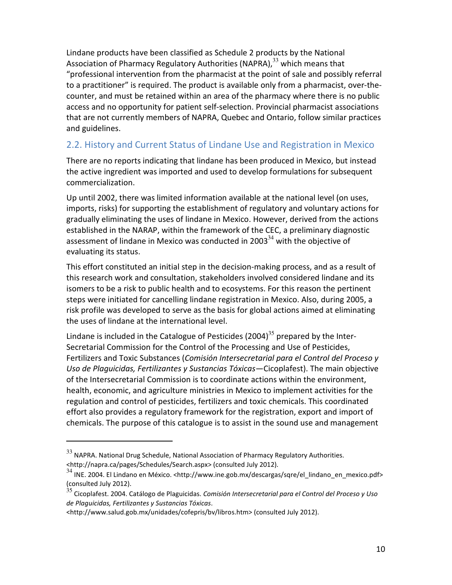Lindane products have been classified as Schedule 2 products by the National Association of Pharmacy Regulatory Authorities (NAPRA),  $33$  which means that "professional intervention from the pharmacist at the point of sale and possibly referral to a practitioner" is required. The product is available only from a pharmacist, over-thecounter, and must be retained within an area of the pharmacy where there is no public access and no opportunity for patient self-selection. Provincial pharmacist associations that are not currently members of NAPRA, Quebec and Ontario, follow similar practices and guidelines.

## 2.2. History and Current Status of Lindane Use and Registration in Mexico

There are no reports indicating that lindane has been produced in Mexico, but instead the active ingredient was imported and used to develop formulations for subsequent commercialization.

Up until 2002, there was limited information available at the national level (on uses, imports, risks) for supporting the establishment of regulatory and voluntary actions for gradually eliminating the uses of lindane in Mexico. However, derived from the actions established in the NARAP, within the framework of the CEC, a preliminary diagnostic assessment of lindane in Mexico was conducted in 2003 $^{34}$  with the objective of evaluating its status.

This effort constituted an initial step in the decision-making process, and as a result of this research work and consultation, stakeholders involved considered lindane and its isomers to be a risk to public health and to ecosystems. For this reason the pertinent steps were initiated for cancelling lindane registration in Mexico. Also, during 2005, a risk profile was developed to serve as the basis for global actions aimed at eliminating the uses of lindane at the international level.

Lindane is included in the Catalogue of Pesticides (2004)<sup>35</sup> prepared by the Inter-Secretarial Commission for the Control of the Processing and Use of Pesticides, Fertilizers and Toxic Substances (*Comisión Intersecretarial para el Control del Proceso y Uso de Plaguicidas, Fertilizantes y Sustancias Tóxicas—*Cicoplafest). The main objective of the Intersecretarial Commission is to coordinate actions within the environment, health, economic, and agriculture ministries in Mexico to implement activities for the regulation and control of pesticides, fertilizers and toxic chemicals. This coordinated effort also provides a regulatory framework for the registration, export and import of chemicals. The purpose of this catalogue is to assist in the sound use and management

l

 $33$  NAPRA. National Drug Schedule, National Association of Pharmacy Regulatory Authorities. <http://napra.ca/pages/Schedules/Search.aspx> (consulted July 2012).

<sup>34</sup> INE. 2004. El Lindano en México. <http://www.ine.gob.mx/descargas/sqre/el\_lindano\_en\_mexico.pdf> (consulted July 2012).

<sup>35</sup> Cicoplafest. 2004. Catálogo de Plaguicidas. *Comisión Intersecretarial para el Control del Proceso y Uso de Plaguicidas, Fertilizantes y Sustancias Tóxicas*.

<sup>&</sup>lt;http://www.salud.gob.mx/unidades/cofepris/bv/libros.htm> (consulted July 2012).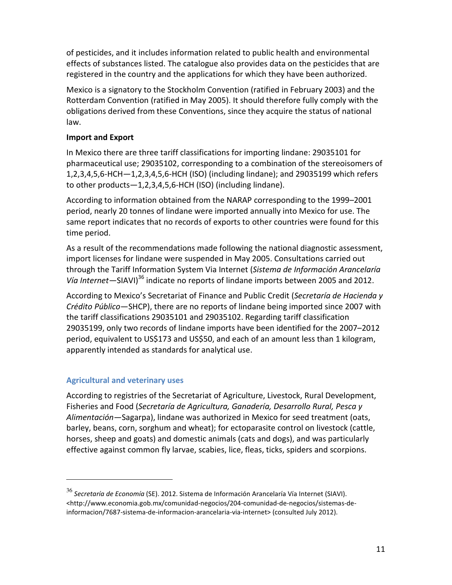of pesticides, and it includes information related to public health and environmental effects of substances listed. The catalogue also provides data on the pesticides that are registered in the country and the applications for which they have been authorized.

Mexico is a signatory to the Stockholm Convention (ratified in February 2003) and the Rotterdam Convention (ratified in May 2005). It should therefore fully comply with the obligations derived from these Conventions, since they acquire the status of national law.

## **Import and Export**

In Mexico there are three tariff classifications for importing lindane: 29035101 for pharmaceutical use; 29035102, corresponding to a combination of the stereoisomers of 1,2,3,4,5,6-HCH—1,2,3,4,5,6-HCH (ISO) (including lindane); and 29035199 which refers to other products—1,2,3,4,5,6-HCH (ISO) (including lindane).

According to information obtained from the NARAP corresponding to the 1999–2001 period, nearly 20 tonnes of lindane were imported annually into Mexico for use. The same report indicates that no records of exports to other countries were found for this time period.

As a result of the recommendations made following the national diagnostic assessment, import licenses for lindane were suspended in May 2005. Consultations carried out through the Tariff Information System Via Internet (*Sistema de Información Arancelaría Vía Internet*—SIAVI)<sup>36</sup> indicate no reports of lindane imports between 2005 and 2012.

According to Mexico's Secretariat of Finance and Public Credit (*Secretaría de Hacienda y Crédito Público*—SHCP), there are no reports of lindane being imported since 2007 with the tariff classifications 29035101 and 29035102. Regarding tariff classification 29035199, only two records of lindane imports have been identified for the 2007–2012 period, equivalent to US\$173 and US\$50, and each of an amount less than 1 kilogram, apparently intended as standards for analytical use.

## **Agricultural and veterinary uses**

l

According to registries of the Secretariat of Agriculture, Livestock, Rural Development, Fisheries and Food (*Secretaría de Agricultura, Ganadería, Desarrollo Rural, Pesca y Alimentación—*Sagarpa), lindane was authorized in Mexico for seed treatment (oats, barley, beans, corn, sorghum and wheat); for ectoparasite control on livestock (cattle, horses, sheep and goats) and domestic animals (cats and dogs), and was particularly effective against common fly larvae, scabies, lice, fleas, ticks, spiders and scorpions.

<sup>36</sup> *Secretaría de Economía* (SE). 2012. Sistema de Información Arancelaría Vía Internet (SIAVI). <http://www.economia.gob.mx/comunidad-negocios/204-comunidad-de-negocios/sistemas-deinformacion/7687-sistema-de-informacion-arancelaria-via-internet> (consulted July 2012).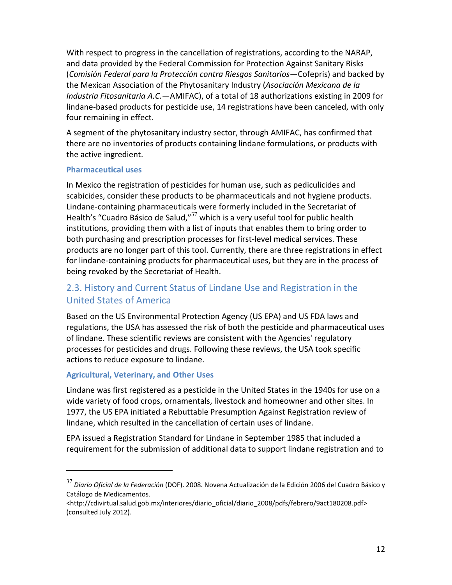With respect to progress in the cancellation of registrations, according to the NARAP, and data provided by the Federal Commission for Protection Against Sanitary Risks (*Comisión Federal para la Protección contra Riesgos Sanitarios*—Cofepris) and backed by the Mexican Association of the Phytosanitary Industry (*Asociación Mexicana de la Industria Fitosanitaria A.C.—*AMIFAC), of a total of 18 authorizations existing in 2009 for lindane-based products for pesticide use, 14 registrations have been canceled, with only four remaining in effect.

A segment of the phytosanitary industry sector, through AMIFAC, has confirmed that there are no inventories of products containing lindane formulations, or products with the active ingredient.

#### **Pharmaceutical uses**

In Mexico the registration of pesticides for human use, such as pediculicides and scabicides, consider these products to be pharmaceuticals and not hygiene products. Lindane-containing pharmaceuticals were formerly included in the Secretariat of Health's "Cuadro Básico de Salud," $37$  which is a very useful tool for public health institutions, providing them with a list of inputs that enables them to bring order to both purchasing and prescription processes for first-level medical services. These products are no longer part of this tool. Currently, there are three registrations in effect for lindane-containing products for pharmaceutical uses, but they are in the process of being revoked by the Secretariat of Health.

## 2.3. History and Current Status of Lindane Use and Registration in the United States of America

Based on the US Environmental Protection Agency (US EPA) and US FDA laws and regulations, the USA has assessed the risk of both the pesticide and pharmaceutical uses of lindane. These scientific reviews are consistent with the Agencies' regulatory processes for pesticides and drugs. Following these reviews, the USA took specific actions to reduce exposure to lindane.

## **Agricultural, Veterinary, and Other Uses**

.

Lindane was first registered as a pesticide in the United States in the 1940s for use on a wide variety of food crops, ornamentals, livestock and homeowner and other sites. In 1977, the US EPA initiated a Rebuttable Presumption Against Registration review of lindane, which resulted in the cancellation of certain uses of lindane.

EPA issued a Registration Standard for Lindane in September 1985 that included a requirement for the submission of additional data to support lindane registration and to

<sup>37</sup> *Diario Oficial de la Federación* (DOF). 2008. Novena Actualización de la Edición 2006 del Cuadro Básico y Catálogo de Medicamentos.

<sup>&</sup>lt;http://cdivirtual.salud.gob.mx/interiores/diario\_oficial/diario\_2008/pdfs/febrero/9act180208.pdf> (consulted July 2012).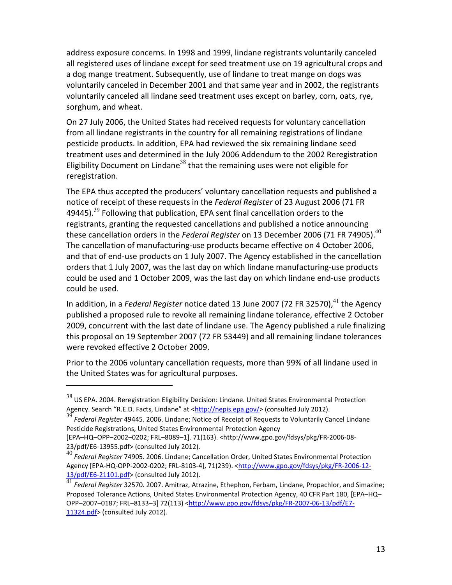address exposure concerns. In 1998 and 1999, lindane registrants voluntarily canceled all registered uses of lindane except for seed treatment use on 19 agricultural crops and a dog mange treatment. Subsequently, use of lindane to treat mange on dogs was voluntarily canceled in December 2001 and that same year and in 2002, the registrants voluntarily canceled all lindane seed treatment uses except on barley, corn, oats, rye, sorghum, and wheat.

On 27 July 2006, the United States had received requests for voluntary cancellation from all lindane registrants in the country for all remaining registrations of lindane pesticide products. In addition, EPA had reviewed the six remaining lindane seed treatment uses and determined in the July 2006 Addendum to the 2002 Reregistration Eligibility Document on Lindane<sup>38</sup> that the remaining uses were not eligible for reregistration.

The EPA thus accepted the producers' voluntary cancellation requests and published a notice of receipt of these requests in the *Federal Register* of 23 August 2006 (71 FR 49445).<sup>39</sup> Following that publication, EPA sent final cancellation orders to the registrants, granting the requested cancellations and published a notice announcing these cancellation orders in the *Federal Register* on 13 December 2006 (71 FR 74905).<sup>40</sup> The cancellation of manufacturing-use products became effective on 4 October 2006, and that of end-use products on 1 July 2007. The Agency established in the cancellation orders that 1 July 2007, was the last day on which lindane manufacturing-use products could be used and 1 October 2009, was the last day on which lindane end-use products could be used.

In addition, in a *Federal Register* notice dated 13 June 2007 (72 FR 32570),<sup>41</sup> the Agency published a proposed rule to revoke all remaining lindane tolerance, effective 2 October 2009, concurrent with the last date of lindane use. The Agency published a rule finalizing this proposal on 19 September 2007 (72 FR 53449) and all remaining lindane tolerances were revoked effective 2 October 2009.

Prior to the 2006 voluntary cancellation requests, more than 99% of all lindane used in the United States was for agricultural purposes.

l

 $38$  US EPA. 2004. Reregistration Eligibility Decision: Lindane. United States Environmental Protection Agency. Search "R.E.D. Facts, Lindane" at <http://nepis.epa.gov/> (consulted July 2012).

<sup>39</sup> *Federal Register* 49445. 2006. Lindane; Notice of Receipt of Requests to Voluntarily Cancel Lindane Pesticide Registrations, United States Environmental Protection Agency

<sup>[</sup>EPA–HQ–OPP–2002–0202; FRL–8089–1]. 71(163). <http://www.gpo.gov/fdsys/pkg/FR-2006-08- 23/pdf/E6-13955.pdf> (consulted July 2012).

<sup>40</sup> *Federal Register* 74905. 2006. Lindane; Cancellation Order, United States Environmental Protection Agency [EPA-HQ-OPP-2002-0202; FRL-8103-4], 71(239). <http://www.gpo.gov/fdsys/pkg/FR-2006-12-13/pdf/E6-21101.pdf> (consulted July 2012).

<sup>41</sup> *Federal Register* 32570. 2007. Amitraz, Atrazine, Ethephon, Ferbam, Lindane, Propachlor, and Simazine; Proposed Tolerance Actions, United States Environmental Protection Agency, 40 CFR Part 180, [EPA–HQ– OPP–2007–0187; FRL–8133–3] 72(113) <http://www.gpo.gov/fdsys/pkg/FR-2007-06-13/pdf/E7- 11324.pdf> (consulted July 2012).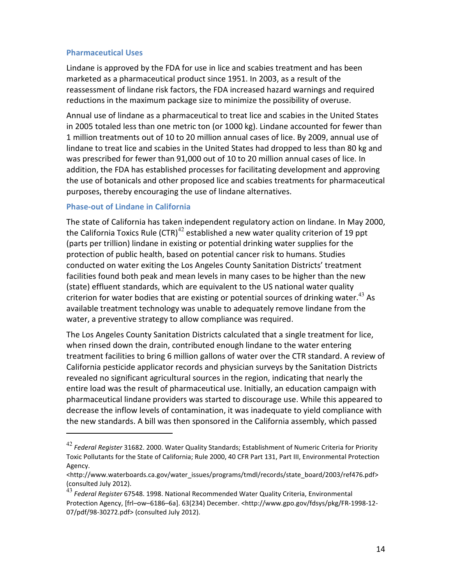#### **Pharmaceutical Uses**

Lindane is approved by the FDA for use in lice and scabies treatment and has been marketed as a pharmaceutical product since 1951. In 2003, as a result of the reassessment of lindane risk factors, the FDA increased hazard warnings and required reductions in the maximum package size to minimize the possibility of overuse.

Annual use of lindane as a pharmaceutical to treat lice and scabies in the United States in 2005 totaled less than one metric ton (or 1000 kg). Lindane accounted for fewer than 1 million treatments out of 10 to 20 million annual cases of lice. By 2009, annual use of lindane to treat lice and scabies in the United States had dropped to less than 80 kg and was prescribed for fewer than 91,000 out of 10 to 20 million annual cases of lice. In addition, the FDA has established processes for facilitating development and approving the use of botanicals and other proposed lice and scabies treatments for pharmaceutical purposes, thereby encouraging the use of lindane alternatives.

#### **Phase-out of Lindane in California**

.

The state of California has taken independent regulatory action on lindane. In May 2000, the California Toxics Rule (CTR)<sup>42</sup> established a new water quality criterion of 19 ppt (parts per trillion) lindane in existing or potential drinking water supplies for the protection of public health, based on potential cancer risk to humans. Studies conducted on water exiting the Los Angeles County Sanitation Districts' treatment facilities found both peak and mean levels in many cases to be higher than the new (state) effluent standards, which are equivalent to the US national water quality criterion for water bodies that are existing or potential sources of drinking water.  $43$  As available treatment technology was unable to adequately remove lindane from the water, a preventive strategy to allow compliance was required.

The Los Angeles County Sanitation Districts calculated that a single treatment for lice, when rinsed down the drain, contributed enough lindane to the water entering treatment facilities to bring 6 million gallons of water over the CTR standard. A review of California pesticide applicator records and physician surveys by the Sanitation Districts revealed no significant agricultural sources in the region, indicating that nearly the entire load was the result of pharmaceutical use. Initially, an education campaign with pharmaceutical lindane providers was started to discourage use. While this appeared to decrease the inflow levels of contamination, it was inadequate to yield compliance with the new standards. A bill was then sponsored in the California assembly, which passed

<sup>42</sup> *Federal Register* 31682. 2000. Water Quality Standards; Establishment of Numeric Criteria for Priority Toxic Pollutants for the State of California; Rule 2000, 40 CFR Part 131, Part III, Environmental Protection Agency.

<sup>&</sup>lt;http://www.waterboards.ca.gov/water\_issues/programs/tmdl/records/state\_board/2003/ref476.pdf> (consulted July 2012).

<sup>43</sup> *Federal Register* 67548. 1998. National Recommended Water Quality Criteria, Environmental Protection Agency, [frl–ow–6186–6a]. 63(234) December. <http://www.gpo.gov/fdsys/pkg/FR-1998-12- 07/pdf/98-30272.pdf> (consulted July 2012).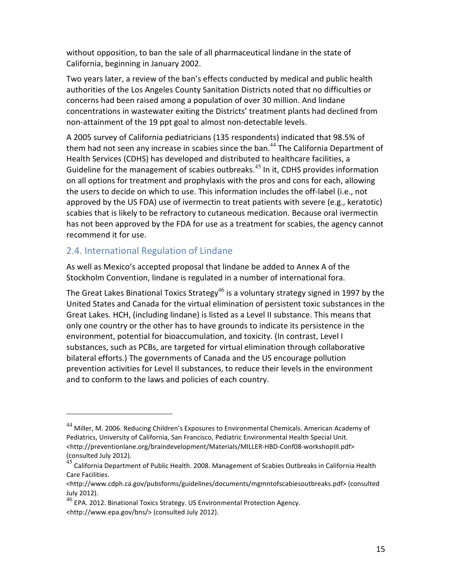without opposition, to ban the sale of all pharmaceutical lindane in the state of California, beginning in January 2002.

Two years later, a review of the ban's effects conducted by medical and public health authorities of the Los Angeles County Sanitation Districts noted that no difficulties or concerns had been raised among a population of over 30 million. And lindane concentrations in wastewater exiting the Districts' treatment plants had declined from non-attainment of the 19 ppt goal to almost non-detectable levels.

A 2005 survey of California pediatricians (135 respondents) indicated that 98.5% of them had not seen any increase in scabies since the ban.<sup>44</sup> The California Department of Health Services (CDHS) has developed and distributed to healthcare facilities, a Guideline for the management of scabies outbreaks. $45$  In it, CDHS provides information on all options for treatment and prophylaxis with the pros and cons for each, allowing the users to decide on which to use. This information includes the off-label (i.e., not approved by the US FDA) use of ivermectin to treat patients with severe (e.g., keratotic) scabies that is likely to be refractory to cutaneous medication. Because oral ivermectin has not been approved by the FDA for use as a treatment for scabies, the agency cannot recommend it for use.

## 2.4. International Regulation of Lindane

.

As well as Mexico's accepted proposal that lindane be added to Annex A of the Stockholm Convention, lindane is regulated in a number of international fora.

The Great Lakes Binational Toxics Strategy<sup>46</sup> is a voluntary strategy signed in 1997 by the United States and Canada for the virtual elimination of persistent toxic substances in the Great Lakes. HCH, (including lindane) is listed as a Level II substance. This means that only one country or the other has to have grounds to indicate its persistence in the environment, potential for bioaccumulation, and toxicity. (In contrast, Level I substances, such as PCBs, are targeted for virtual elimination through collaborative bilateral efforts.) The governments of Canada and the US encourage pollution prevention activities for Level II substances, to reduce their levels in the environment and to conform to the laws and policies of each country.

<sup>&</sup>lt;sup>44</sup> Miller, M. 2006. Reducing Children's Exposures to Environmental Chemicals. American Academy of Pediatrics, University of California, San Francisco, Pediatric Environmental Health Special Unit. <http://preventionlane.org/braindevelopment/Materials/MILLER-HBD-Conf08-workshopIII.pdf> (consulted July 2012).

<sup>45</sup> California Department of Public Health. 2008. Management of Scabies Outbreaks in California Health Care Facilities.

<sup>&</sup>lt;http://www.cdph.ca.gov/pubsforms/guidelines/documents/mgmntofscabiesoutbreaks.pdf> (consulted July 2012).

<sup>&</sup>lt;sup>46</sup> EPA. 2012. Binational Toxics Strategy. US Environmental Protection Agency. <http://www.epa.gov/bns/> (consulted July 2012).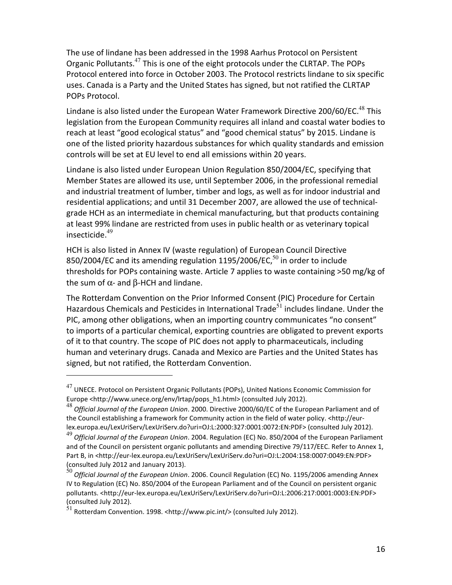The use of lindane has been addressed in the 1998 Aarhus Protocol on Persistent Organic Pollutants. $47$  This is one of the eight protocols under the CLRTAP. The POPs Protocol entered into force in October 2003. The Protocol restricts lindane to six specific uses. Canada is a Party and the United States has signed, but not ratified the CLRTAP POPs Protocol.

Lindane is also listed under the European Water Framework Directive 200/60/EC. $^{48}$  This legislation from the European Community requires all inland and coastal water bodies to reach at least "good ecological status" and "good chemical status" by 2015. Lindane is one of the listed priority hazardous substances for which quality standards and emission controls will be set at EU level to end all emissions within 20 years.

Lindane is also listed under European Union Regulation 850/2004/EC, specifying that Member States are allowed its use, until September 2006, in the professional remedial and industrial treatment of lumber, timber and logs, as well as for indoor industrial and residential applications; and until 31 December 2007, are allowed the use of technicalgrade HCH as an intermediate in chemical manufacturing, but that products containing at least 99% lindane are restricted from uses in public health or as veterinary topical insecticide.<sup>49</sup>

HCH is also listed in Annex IV (waste regulation) of European Council Directive 850/2004/EC and its amending regulation  $1195/2006$ /EC, $^{50}$  in order to include thresholds for POPs containing waste. Article 7 applies to waste containing >50 mg/kg of the sum of  $\alpha$ - and  $\beta$ -HCH and lindane.

The Rotterdam Convention on the Prior Informed Consent (PIC) Procedure for Certain Hazardous Chemicals and Pesticides in International Trade<sup>51</sup> includes lindane. Under the PIC, among other obligations, when an importing country communicates "no consent" to imports of a particular chemical, exporting countries are obligated to prevent exports of it to that country. The scope of PIC does not apply to pharmaceuticals, including human and veterinary drugs. Canada and Mexico are Parties and the United States has signed, but not ratified, the Rotterdam Convention.

l

 $^{47}$  UNECE. Protocol on Persistent Organic Pollutants (POPs), United Nations Economic Commission for Europe <http://www.unece.org/env/lrtap/pops\_h1.html> (consulted July 2012).

<sup>48</sup> *Official Journal of the European Union*. 2000. Directive 2000/60/EC of the European Parliament and of the Council establishing a framework for Community action in the field of water policy. <http://eurlex.europa.eu/LexUriServ/LexUriServ.do?uri=OJ:L:2000:327:0001:0072:EN:PDF> (consulted July 2012).

<sup>49</sup> *Official Journal of the European Union*. 2004. Regulation (EC) No. 850/2004 of the European Parliament and of the Council on persistent organic pollutants and amending Directive 79/117/EEC. Refer to Annex 1, Part B, in <http://eur-lex.europa.eu/LexUriServ/LexUriServ.do?uri=OJ:L:2004:158:0007:0049:EN:PDF> (consulted July 2012 and January 2013).

<sup>50</sup> *Official Journal of the European Union*. 2006. Council Regulation (EC) No. 1195/2006 amending Annex IV to Regulation (EC) No. 850/2004 of the European Parliament and of the Council on persistent organic pollutants. <http://eur-lex.europa.eu/LexUriServ/LexUriServ.do?uri=OJ:L:2006:217:0001:0003:EN:PDF> (consulted July 2012).

 $31$  Rotterdam Convention. 1998. <http://www.pic.int/> (consulted July 2012).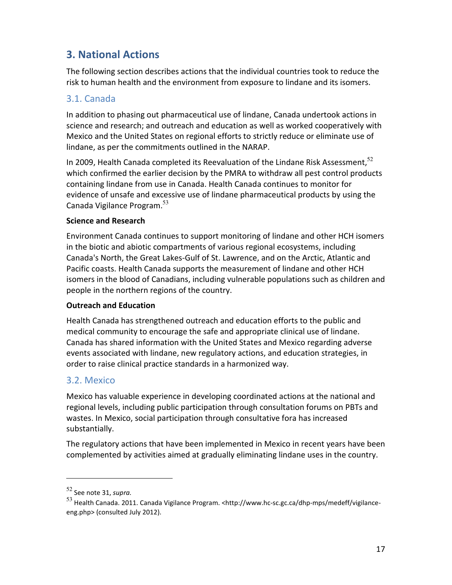## **3. National Actions**

The following section describes actions that the individual countries took to reduce the risk to human health and the environment from exposure to lindane and its isomers.

## 3.1. Canada

In addition to phasing out pharmaceutical use of lindane, Canada undertook actions in science and research; and outreach and education as well as worked cooperatively with Mexico and the United States on regional efforts to strictly reduce or eliminate use of lindane, as per the commitments outlined in the NARAP.

In 2009, Health Canada completed its Reevaluation of the Lindane Risk Assessment,  $52$ which confirmed the earlier decision by the PMRA to withdraw all pest control products containing lindane from use in Canada. Health Canada continues to monitor for evidence of unsafe and excessive use of lindane pharmaceutical products by using the Canada Vigilance Program.<sup>53</sup>

## **Science and Research**

Environment Canada continues to support monitoring of lindane and other HCH isomers in the biotic and abiotic compartments of various regional ecosystems, including Canada's North, the Great Lakes-Gulf of St. Lawrence, and on the Arctic, Atlantic and Pacific coasts. Health Canada supports the measurement of lindane and other HCH isomers in the blood of Canadians, including vulnerable populations such as children and people in the northern regions of the country.

## **Outreach and Education**

Health Canada has strengthened outreach and education efforts to the public and medical community to encourage the safe and appropriate clinical use of lindane. Canada has shared information with the United States and Mexico regarding adverse events associated with lindane, new regulatory actions, and education strategies, in order to raise clinical practice standards in a harmonized way.

## 3.2. Mexico

Mexico has valuable experience in developing coordinated actions at the national and regional levels, including public participation through consultation forums on PBTs and wastes. In Mexico, social participation through consultative fora has increased substantially.

The regulatory actions that have been implemented in Mexico in recent years have been complemented by activities aimed at gradually eliminating lindane uses in the country.

.

<sup>52</sup> See note 31, *supra.* 

<sup>53</sup> Health Canada. 2011. Canada Vigilance Program. <http://www.hc-sc.gc.ca/dhp-mps/medeff/vigilanceeng.php> (consulted July 2012).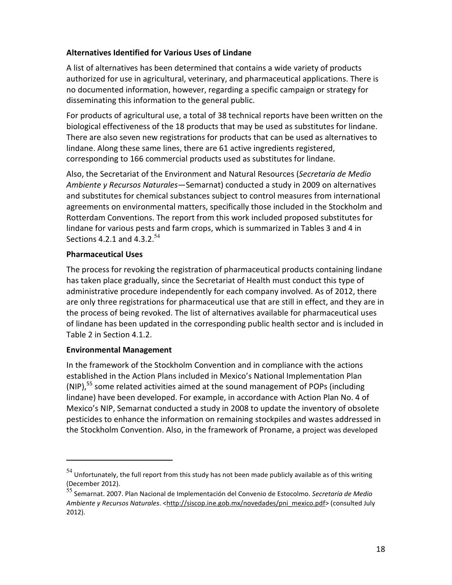## **Alternatives Identified for Various Uses of Lindane**

A list of alternatives has been determined that contains a wide variety of products authorized for use in agricultural, veterinary, and pharmaceutical applications. There is no documented information, however, regarding a specific campaign or strategy for disseminating this information to the general public.

For products of agricultural use, a total of 38 technical reports have been written on the biological effectiveness of the 18 products that may be used as substitutes for lindane. There are also seven new registrations for products that can be used as alternatives to lindane. Along these same lines, there are 61 active ingredients registered, corresponding to 166 commercial products used as substitutes for lindane.

Also, the Secretariat of the Environment and Natural Resources (*Secretaría de Medio Ambiente y Recursos Naturales*—Semarnat) conducted a study in 2009 on alternatives and substitutes for chemical substances subject to control measures from international agreements on environmental matters, specifically those included in the Stockholm and Rotterdam Conventions. The report from this work included proposed substitutes for lindane for various pests and farm crops, which is summarized in Tables 3 and 4 in Sections 4.2.1 and 4.3.2.<sup>54</sup>

## **Pharmaceutical Uses**

The process for revoking the registration of pharmaceutical products containing lindane has taken place gradually, since the Secretariat of Health must conduct this type of administrative procedure independently for each company involved. As of 2012, there are only three registrations for pharmaceutical use that are still in effect, and they are in the process of being revoked. The list of alternatives available for pharmaceutical uses of lindane has been updated in the corresponding public health sector and is included in Table 2 in Section 4.1.2.

## **Environmental Management**

.

In the framework of the Stockholm Convention and in compliance with the actions established in the Action Plans included in Mexico's National Implementation Plan  $(NIP)$ ,<sup>55</sup> some related activities aimed at the sound management of POPs (including lindane) have been developed. For example, in accordance with Action Plan No. 4 of Mexico's NIP, Semarnat conducted a study in 2008 to update the inventory of obsolete pesticides to enhance the information on remaining stockpiles and wastes addressed in the Stockholm Convention. Also, in the framework of Proname, a project was developed

 $54$  Unfortunately, the full report from this study has not been made publicly available as of this writing (December 2012).

<sup>55</sup> Semarnat. 2007. Plan Nacional de Implementación del Convenio de Estocolmo. *Secretaría de Medio Ambiente y Recursos Naturales*. <http://siscop.ine.gob.mx/novedades/pni\_mexico.pdf> (consulted July 2012).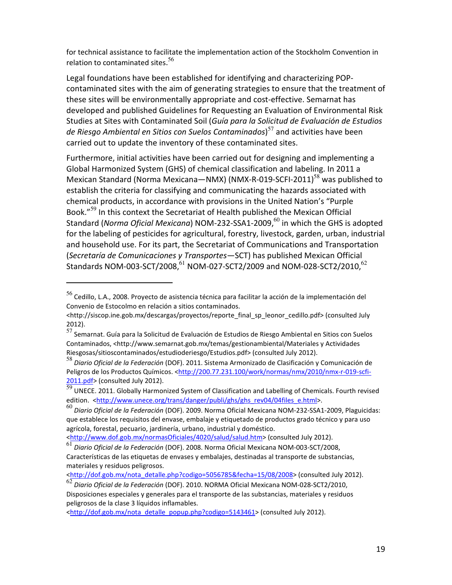for technical assistance to facilitate the implementation action of the Stockholm Convention in relation to contaminated sites.<sup>56</sup>

Legal foundations have been established for identifying and characterizing POPcontaminated sites with the aim of generating strategies to ensure that the treatment of these sites will be environmentally appropriate and cost-effective. Semarnat has developed and published Guidelines for Requesting an Evaluation of Environmental Risk Studies at Sites with Contaminated Soil (*Guía para la Solicitud de Evaluación de Estudios de Riesgo Ambiental en Sitios con Suelos Contaminados*) <sup>57</sup> and activities have been carried out to update the inventory of these contaminated sites.

Furthermore, initial activities have been carried out for designing and implementing a Global Harmonized System (GHS) of chemical classification and labeling. In 2011 a Mexican Standard (Norma Mexicana—NMX) (NMX-R-019-SCFI-2011)<sup>58</sup> was published to establish the criteria for classifying and communicating the hazards associated with chemical products, in accordance with provisions in the United Nation's "Purple Book."<sup>59</sup> In this context the Secretariat of Health published the Mexican Official Standard (*Norma Oficial Mexicana*) NOM-232-SSA1-2009,<sup>60</sup> in which the GHS is adopted for the labeling of pesticides for agricultural, forestry, livestock, garden, urban, industrial and household use. For its part, the Secretariat of Communications and Transportation (*Secretaría de Comunicaciones y Transportes*—SCT) has published Mexican Official Standards NOM-003-SCT/2008,  $^{61}$  NOM-027-SCT2/2009 and NOM-028-SCT2/2010,  $^{62}$ 

.

<sup>58</sup> *Diario Oficial de la Federación* (DOF). 2011. Sistema Armonizado de Clasificación y Comunicación de Peligros de los Productos Químicos. <http://200.77.231.100/work/normas/nmx/2010/nmx-r-019-scfi-2011.pdf> (consulted July 2012).

<sup>56</sup> Cedillo, L.A., 2008. Proyecto de asistencia técnica para facilitar la acción de la implementación del Convenio de Estocolmo en relación a sitios contaminados.

<sup>&</sup>lt;http://siscop.ine.gob.mx/descargas/proyectos/reporte\_final\_sp\_leonor\_cedillo.pdf> (consulted July 2012).

 $57$  Semarnat. Guía para la Solicitud de Evaluación de Estudios de Riesgo Ambiental en Sitios con Suelos Contaminados, <http://www.semarnat.gob.mx/temas/gestionambiental/Materiales y Actividades Riesgosas/sitioscontaminados/estudioderiesgo/Estudios.pdf> (consulted July 2012).

 $\overline{59}$  UNECE. 2011. Globally Harmonized System of Classification and Labelling of Chemicals. Fourth revised edition. <http://www.unece.org/trans/danger/publi/ghs/ghs\_rev04/04files\_e.html>.

<sup>60</sup> *Diario Oficial de la Federación* (DOF). 2009. Norma Oficial Mexicana NOM-232-SSA1-2009, Plaguicidas: que establece los requisitos del envase, embalaje y etiquetado de productos grado técnico y para uso agrícola, forestal, pecuario, jardinería, urbano, industrial y doméstico.

<sup>&</sup>lt;http://www.dof.gob.mx/normasOficiales/4020/salud/salud.htm> (consulted July 2012).

<sup>61</sup> *Diario Oficial de la Federación* (DOF). 2008. Norma Oficial Mexicana NOM-003-SCT/2008, Características de las etiquetas de envases y embalajes, destinadas al transporte de substancias, materiales y residuos peligrosos.

<sup>&</sup>lt;http://dof.gob.mx/nota\_detalle.php?codigo=5056785&fecha=15/08/2008> (consulted July 2012).

<sup>62</sup> *Diario Oficial de la Federación* (DOF). 2010. NORMA Oficial Mexicana NOM-028-SCT2/2010, Disposiciones especiales y generales para el transporte de las substancias, materiales y residuos peligrosos de la clase 3 líquidos inflamables.

<sup>&</sup>lt;http://dof.gob.mx/nota\_detalle\_popup.php?codigo=5143461> (consulted July 2012).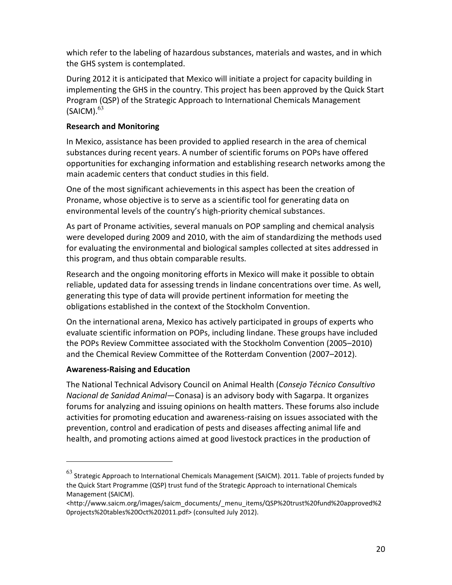which refer to the labeling of hazardous substances, materials and wastes, and in which the GHS system is contemplated.

During 2012 it is anticipated that Mexico will initiate a project for capacity building in implementing the GHS in the country. This project has been approved by the Quick Start Program (QSP) of the Strategic Approach to International Chemicals Management  $(SAICM).<sup>63</sup>$ 

## **Research and Monitoring**

In Mexico, assistance has been provided to applied research in the area of chemical substances during recent years. A number of scientific forums on POPs have offered opportunities for exchanging information and establishing research networks among the main academic centers that conduct studies in this field.

One of the most significant achievements in this aspect has been the creation of Proname, whose objective is to serve as a scientific tool for generating data on environmental levels of the country's high-priority chemical substances.

As part of Proname activities, several manuals on POP sampling and chemical analysis were developed during 2009 and 2010, with the aim of standardizing the methods used for evaluating the environmental and biological samples collected at sites addressed in this program, and thus obtain comparable results.

Research and the ongoing monitoring efforts in Mexico will make it possible to obtain reliable, updated data for assessing trends in lindane concentrations over time. As well, generating this type of data will provide pertinent information for meeting the obligations established in the context of the Stockholm Convention.

On the international arena, Mexico has actively participated in groups of experts who evaluate scientific information on POPs, including lindane. These groups have included the POPs Review Committee associated with the Stockholm Convention (2005–2010) and the Chemical Review Committee of the Rotterdam Convention (2007–2012).

## **Awareness-Raising and Education**

.

The National Technical Advisory Council on Animal Health (*Consejo Técnico Consultivo Nacional de Sanidad Animal*—Conasa) is an advisory body with Sagarpa. It organizes forums for analyzing and issuing opinions on health matters. These forums also include activities for promoting education and awareness-raising on issues associated with the prevention, control and eradication of pests and diseases affecting animal life and health, and promoting actions aimed at good livestock practices in the production of

 $^{63}$  Strategic Approach to International Chemicals Management (SAICM). 2011. Table of projects funded by the Quick Start Programme (QSP) trust fund of the Strategic Approach to international Chemicals Management (SAICM).

<sup>&</sup>lt;http://www.saicm.org/images/saicm\_documents/\_menu\_items/QSP%20trust%20fund%20approved%2 0projects%20tables%20Oct%202011.pdf> (consulted July 2012).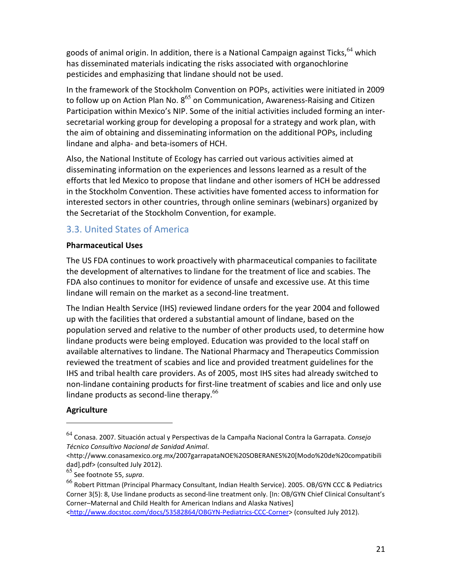goods of animal origin. In addition, there is a National Campaign against Ticks, <sup>64</sup> which has disseminated materials indicating the risks associated with organochlorine pesticides and emphasizing that lindane should not be used.

In the framework of the Stockholm Convention on POPs, activities were initiated in 2009 to follow up on Action Plan No.  $8^{65}$  on Communication, Awareness-Raising and Citizen Participation within Mexico's NIP. Some of the initial activities included forming an intersecretarial working group for developing a proposal for a strategy and work plan, with the aim of obtaining and disseminating information on the additional POPs, including lindane and alpha- and beta-isomers of HCH.

Also, the National Institute of Ecology has carried out various activities aimed at disseminating information on the experiences and lessons learned as a result of the efforts that led Mexico to propose that lindane and other isomers of HCH be addressed in the Stockholm Convention. These activities have fomented access to information for interested sectors in other countries, through online seminars (webinars) organized by the Secretariat of the Stockholm Convention, for example.

## 3.3. United States of America

## **Pharmaceutical Uses**

The US FDA continues to work proactively with pharmaceutical companies to facilitate the development of alternatives to lindane for the treatment of lice and scabies. The FDA also continues to monitor for evidence of unsafe and excessive use. At this time lindane will remain on the market as a second-line treatment.

The Indian Health Service (IHS) reviewed lindane orders for the year 2004 and followed up with the facilities that ordered a substantial amount of lindane, based on the population served and relative to the number of other products used, to determine how lindane products were being employed. Education was provided to the local staff on available alternatives to lindane. The National Pharmacy and Therapeutics Commission reviewed the treatment of scabies and lice and provided treatment guidelines for the IHS and tribal health care providers. As of 2005, most IHS sites had already switched to non-lindane containing products for first-line treatment of scabies and lice and only use lindane products as second-line therapy. $^{66}$ 

## **Agriculture**

j

<sup>64</sup> Conasa. 2007. Situación actual y Perspectivas de la Campaña Nacional Contra la Garrapata. *Consejo Técnico Consultivo Nacional de Sanidad Animal*.

<sup>&</sup>lt;http://www.conasamexico.org.mx/2007garrapataNOE%20SOBERANES%20[Modo%20de%20compatibili dad].pdf> (consulted July 2012).

<sup>65</sup> See footnote 55, *supra*.

<sup>66</sup> Robert Pittman (Principal Pharmacy Consultant, Indian Health Service). 2005. OB/GYN CCC & Pediatrics Corner 3(5): 8, Use lindane products as second-line treatment only. [In: OB/GYN Chief Clinical Consultant's Corner–Maternal and Child Health for American Indians and Alaska Natives]

<sup>&</sup>lt;http://www.docstoc.com/docs/53582864/OBGYN-Pediatrics-CCC-Corner> (consulted July 2012).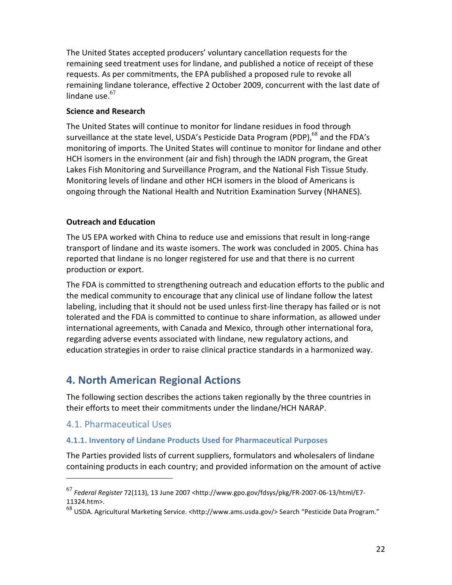The United States accepted producers' voluntary cancellation requests for the remaining seed treatment uses for lindane, and published a notice of receipt of these requests. As per commitments, the EPA published a proposed rule to revoke all remaining lindane tolerance, effective 2 October 2009, concurrent with the last date of lindane use. $67$ 

## **Science and Research**

The United States will continue to monitor for lindane residues in food through surveillance at the state level, USDA's Pesticide Data Program (PDP), $^{68}$  and the FDA's monitoring of imports. The United States will continue to monitor for lindane and other HCH isomers in the environment (air and fish) through the IADN program, the Great Lakes Fish Monitoring and Surveillance Program, and the National Fish Tissue Study. Monitoring levels of lindane and other HCH isomers in the blood of Americans is ongoing through the National Health and Nutrition Examination Survey (NHANES).

## **Outreach and Education**

The US EPA worked with China to reduce use and emissions that result in long-range transport of lindane and its waste isomers. The work was concluded in 2005. China has reported that lindane is no longer registered for use and that there is no current production or export.

The FDA is committed to strengthening outreach and education efforts to the public and the medical community to encourage that any clinical use of lindane follow the latest labeling, including that it should not be used unless first-line therapy has failed or is not tolerated and the FDA is committed to continue to share information, as allowed under international agreements, with Canada and Mexico, through other international fora, regarding adverse events associated with lindane, new regulatory actions, and education strategies in order to raise clinical practice standards in a harmonized way.

## **4. North American Regional Actions**

The following section describes the actions taken regionally by the three countries in their efforts to meet their commitments under the lindane/HCH NARAP.

## 4.1. Pharmaceutical Uses

.

## **4.1.1. Inventory of Lindane Products Used for Pharmaceutical Purposes**

The Parties provided lists of current suppliers, formulators and wholesalers of lindane containing products in each country; and provided information on the amount of active

<sup>67</sup> *Federal Register* 72(113), 13 June 2007 <http://www.gpo.gov/fdsys/pkg/FR-2007-06-13/html/E7- 11324.htm>.

<sup>68</sup> USDA. Agricultural Marketing Service. <http://www.ams.usda.gov/> Search "Pesticide Data Program."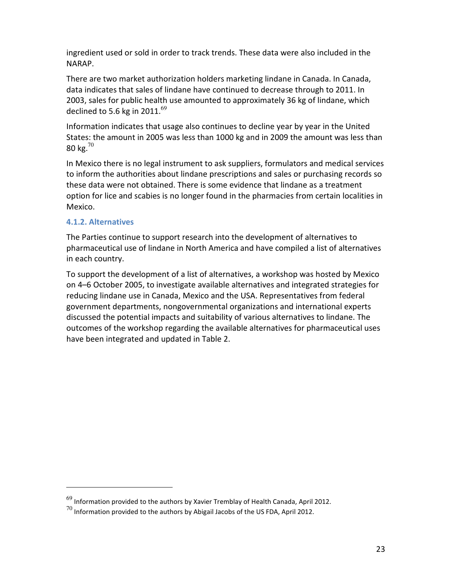ingredient used or sold in order to track trends. These data were also included in the NARAP.

There are two market authorization holders marketing lindane in Canada. In Canada, data indicates that sales of lindane have continued to decrease through to 2011. In 2003, sales for public health use amounted to approximately 36 kg of lindane, which declined to 5.6 kg in 2011. $^{69}$ 

Information indicates that usage also continues to decline year by year in the United States: the amount in 2005 was less than 1000 kg and in 2009 the amount was less than 80 kg. $^{70}$ 

In Mexico there is no legal instrument to ask suppliers, formulators and medical services to inform the authorities about lindane prescriptions and sales or purchasing records so these data were not obtained. There is some evidence that lindane as a treatment option for lice and scabies is no longer found in the pharmacies from certain localities in Mexico.

## **4.1.2. Alternatives**

.

The Parties continue to support research into the development of alternatives to pharmaceutical use of lindane in North America and have compiled a list of alternatives in each country.

To support the development of a list of alternatives, a workshop was hosted by Mexico on 4–6 October 2005, to investigate available alternatives and integrated strategies for reducing lindane use in Canada, Mexico and the USA. Representatives from federal government departments, nongovernmental organizations and international experts discussed the potential impacts and suitability of various alternatives to lindane. The outcomes of the workshop regarding the available alternatives for pharmaceutical uses have been integrated and updated in Table 2.

 $^{69}$  Information provided to the authors by Xavier Tremblay of Health Canada, April 2012.

 $^{70}$  Information provided to the authors by Abigail Jacobs of the US FDA, April 2012.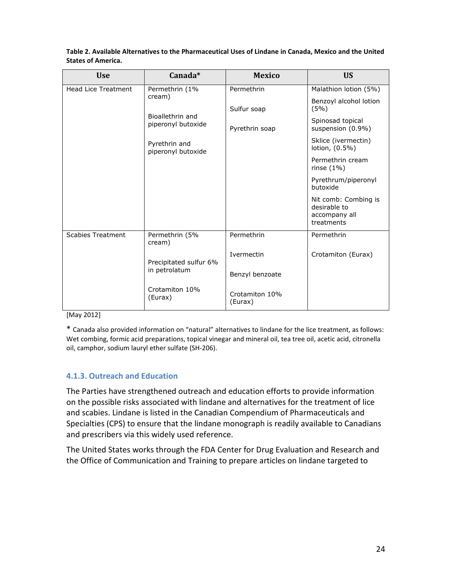| <b>Use</b>                 | Canada*                                                            | <b>Mexico</b>             | <b>US</b>                                                           |
|----------------------------|--------------------------------------------------------------------|---------------------------|---------------------------------------------------------------------|
| <b>Head Lice Treatment</b> | Permethrin (1%<br>cream)<br>Bioallethrin and<br>piperonyl butoxide | Permethrin                | Malathion lotion (5%)                                               |
|                            |                                                                    | Sulfur soap               | Benzoyl alcohol lotion<br>(5%)                                      |
|                            |                                                                    | Pyrethrin soap            | Spinosad topical<br>suspension (0.9%)                               |
|                            | Pyrethrin and<br>piperonyl butoxide                                |                           | Sklice (ivermectin)<br>lotion, (0.5%)                               |
|                            |                                                                    |                           | Permethrin cream<br>rinse $(1\%)$                                   |
|                            |                                                                    |                           | Pyrethrum/piperonyl<br>butoxide                                     |
|                            |                                                                    |                           | Nit comb: Combing is<br>desirable to<br>accompany all<br>treatments |
| <b>Scabies Treatment</b>   | Permethrin (5%<br>cream)                                           | Permethrin                | Permethrin                                                          |
|                            | Precipitated sulfur 6%                                             | Ivermectin                | Crotamiton (Eurax)                                                  |
|                            | in petrolatum                                                      | Benzyl benzoate           |                                                                     |
|                            | Crotamiton 10%<br>(Eurax)                                          | Crotamiton 10%<br>(Eurax) |                                                                     |

**Table 2. Available Alternatives to the Pharmaceutical Uses of Lindane in Canada, Mexico and the United States of America.** 

[May 2012]

\* Canada also provided information on "natural" alternatives to lindane for the lice treatment, as follows: Wet combing, formic acid preparations, topical vinegar and mineral oil, tea tree oil, acetic acid, citronella oil, camphor, sodium lauryl ether sulfate (SH-206).

#### **4.1.3. Outreach and Education**

The Parties have strengthened outreach and education efforts to provide information on the possible risks associated with lindane and alternatives for the treatment of lice and scabies. Lindane is listed in the Canadian Compendium of Pharmaceuticals and Specialties (CPS) to ensure that the lindane monograph is readily available to Canadians and prescribers via this widely used reference.

The United States works through the FDA Center for Drug Evaluation and Research and the Office of Communication and Training to prepare articles on lindane targeted to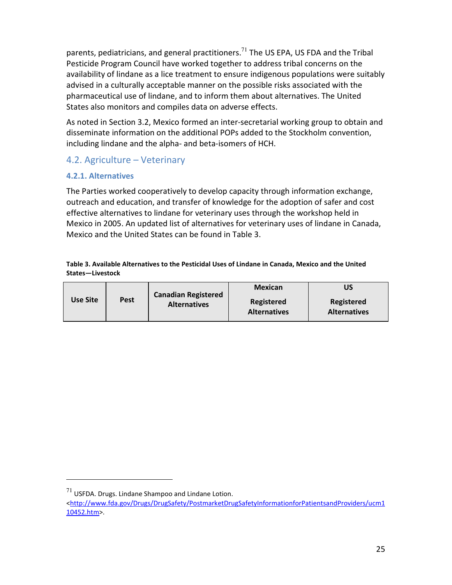parents, pediatricians, and general practitioners.<sup>71</sup> The US EPA, US FDA and the Tribal Pesticide Program Council have worked together to address tribal concerns on the availability of lindane as a lice treatment to ensure indigenous populations were suitably advised in a culturally acceptable manner on the possible risks associated with the pharmaceutical use of lindane, and to inform them about alternatives. The United States also monitors and compiles data on adverse effects.

As noted in Section 3.2, Mexico formed an inter-secretarial working group to obtain and disseminate information on the additional POPs added to the Stockholm convention, including lindane and the alpha- and beta-isomers of HCH.

## 4.2. Agriculture – Veterinary

## **4.2.1. Alternatives**

The Parties worked cooperatively to develop capacity through information exchange, outreach and education, and transfer of knowledge for the adoption of safer and cost effective alternatives to lindane for veterinary uses through the workshop held in Mexico in 2005. An updated list of alternatives for veterinary uses of lindane in Canada, Mexico and the United States can be found in Table 3.

#### **Table 3. Available Alternatives to the Pesticidal Uses of Lindane in Canada, Mexico and the United States—Livestock**

|          |             | <b>Canadian Registered</b> | <b>Mexican</b>                    | บร                                |
|----------|-------------|----------------------------|-----------------------------------|-----------------------------------|
| Use Site | <b>Pest</b> | <b>Alternatives</b>        | Registered<br><b>Alternatives</b> | Registered<br><b>Alternatives</b> |

.

 $^{71}$  USFDA. Drugs. Lindane Shampoo and Lindane Lotion.

<sup>&</sup>lt;http://www.fda.gov/Drugs/DrugSafety/PostmarketDrugSafetyInformationforPatientsandProviders/ucm1 10452.htm>.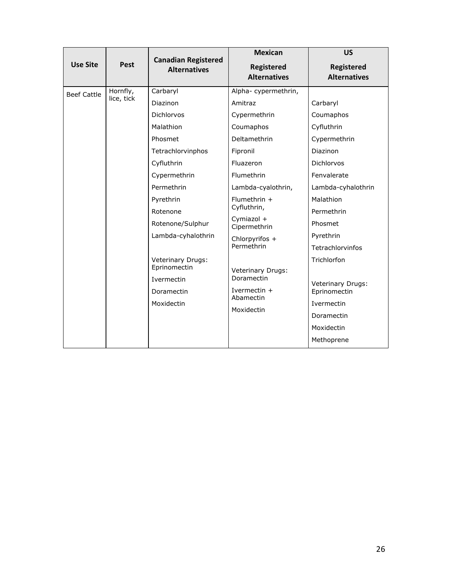|                    |                             | <b>Canadian Registered</b>                                                                                                                                                                                                                                                    | <b>Mexican</b>                                                                                                                                                                                                                                                                                                          | <b>US</b>                                                                                                                                                                                                                                                                               |
|--------------------|-----------------------------|-------------------------------------------------------------------------------------------------------------------------------------------------------------------------------------------------------------------------------------------------------------------------------|-------------------------------------------------------------------------------------------------------------------------------------------------------------------------------------------------------------------------------------------------------------------------------------------------------------------------|-----------------------------------------------------------------------------------------------------------------------------------------------------------------------------------------------------------------------------------------------------------------------------------------|
| <b>Use Site</b>    | Pest<br><b>Alternatives</b> |                                                                                                                                                                                                                                                                               | Registered<br><b>Alternatives</b>                                                                                                                                                                                                                                                                                       | <b>Registered</b><br><b>Alternatives</b>                                                                                                                                                                                                                                                |
| <b>Beef Cattle</b> | Hornfly,<br>lice, tick      | Carbaryl<br>Diazinon<br>Dichlorvos<br>Malathion<br>Phosmet<br>Tetrachlorvinphos<br>Cyfluthrin<br>Cypermethrin<br>Permethrin<br>Pyrethrin<br>Rotenone<br>Rotenone/Sulphur<br>Lambda-cyhalothrin<br>Veterinary Drugs:<br>Eprinomectin<br>Ivermectin<br>Doramectin<br>Moxidectin | Alpha-cypermethrin,<br>Amitraz<br>Cypermethrin<br>Coumaphos<br>Deltamethrin<br>Fipronil<br>Fluazeron<br>Flumethrin<br>Lambda-cyalothrin,<br>Flumethrin $+$<br>Cyfluthrin,<br>Cymiazol +<br>Cipermethrin<br>Chlorpyrifos +<br>Permethrin<br>Veterinary Drugs:<br>Doramectin<br>Ivermectin $+$<br>Abamectin<br>Moxidectin | Carbaryl<br>Coumaphos<br>Cyfluthrin<br>Cypermethrin<br>Diazinon<br><b>Dichlorvos</b><br>Fenvalerate<br>Lambda-cyhalothrin<br>Malathion<br>Permethrin<br>Phosmet<br>Pyrethrin<br>Tetrachlorvinfos<br>Trichlorfon<br><b>Veterinary Drugs:</b><br>Eprinomectin<br>Ivermectin<br>Doramectin |
|                    |                             |                                                                                                                                                                                                                                                                               |                                                                                                                                                                                                                                                                                                                         | Moxidectin<br>Methoprene                                                                                                                                                                                                                                                                |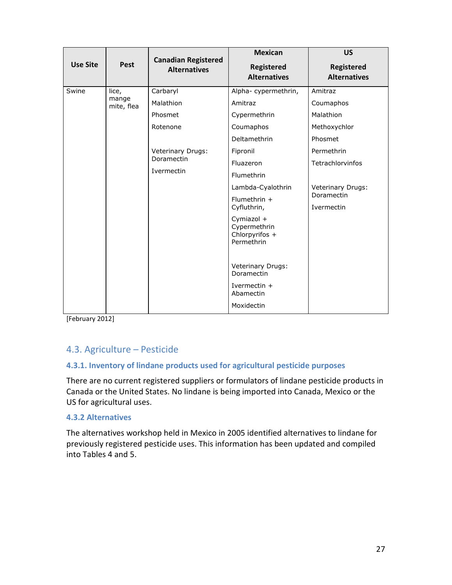| <b>Use Site</b> | <b>Pest</b>              | <b>Canadian Registered</b><br><b>Alternatives</b> | <b>Mexican</b>                                                               | <b>US</b>                                            |
|-----------------|--------------------------|---------------------------------------------------|------------------------------------------------------------------------------|------------------------------------------------------|
|                 |                          |                                                   | <b>Registered</b><br><b>Alternatives</b>                                     | <b>Registered</b><br><b>Alternatives</b>             |
| Swine           | lice,                    | Carbaryl                                          | Alpha-cypermethrin,                                                          | Amitraz                                              |
|                 | mange<br>mite, flea      | Malathion                                         | Amitraz                                                                      | Coumaphos                                            |
|                 |                          | Phosmet                                           | Cypermethrin                                                                 | Malathion                                            |
|                 |                          | Rotenone                                          | Coumaphos                                                                    | Methoxychlor                                         |
|                 |                          |                                                   | Deltamethrin                                                                 | Phosmet                                              |
|                 | Doramectin<br>Ivermectin | Veterinary Drugs:                                 | Fipronil                                                                     | Permethrin                                           |
|                 |                          |                                                   | Fluazeron                                                                    | Tetrachlorvinfos                                     |
|                 |                          |                                                   | Flumethrin                                                                   |                                                      |
|                 |                          |                                                   | Lambda-Cyalothrin                                                            | <b>Veterinary Drugs:</b><br>Doramectin<br>Ivermectin |
|                 |                          |                                                   | Flumethrin $+$<br>Cyfluthrin,                                                |                                                      |
|                 |                          |                                                   | Cymiazol +<br>Cypermethrin<br>Chlorpyrifos +<br>Permethrin                   |                                                      |
|                 |                          |                                                   | Veterinary Drugs:<br>Doramectin<br>Ivermectin $+$<br>Abamectin<br>Moxidectin |                                                      |

[February 2012]

## 4.3. Agriculture – Pesticide

## **4.3.1. Inventory of lindane products used for agricultural pesticide purposes**

There are no current registered suppliers or formulators of lindane pesticide products in Canada or the United States. No lindane is being imported into Canada, Mexico or the US for agricultural uses.

#### **4.3.2 Alternatives**

The alternatives workshop held in Mexico in 2005 identified alternatives to lindane for previously registered pesticide uses. This information has been updated and compiled into Tables 4 and 5.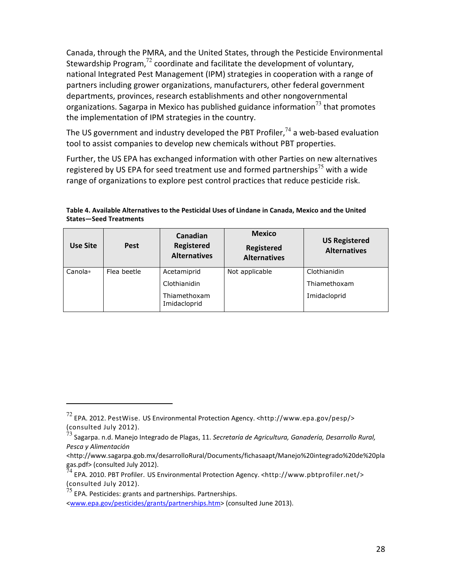Canada, through the PMRA, and the United States, through the Pesticide Environmental Stewardship Program, $72$  coordinate and facilitate the development of voluntary, national Integrated Pest Management (IPM) strategies in cooperation with a range of partners including grower organizations, manufacturers, other federal government departments, provinces, research establishments and other nongovernmental organizations. Sagarpa in Mexico has published guidance information<sup>73</sup> that promotes the implementation of IPM strategies in the country.

The US government and industry developed the PBT Profiler,  $74$  a web-based evaluation tool to assist companies to develop new chemicals without PBT properties.

Further, the US EPA has exchanged information with other Parties on new alternatives registered by US EPA for seed treatment use and formed partnerships<sup>75</sup> with a wide range of organizations to explore pest control practices that reduce pesticide risk.

| Use Site | <b>Pest</b> | Canadian<br><b>Registered</b><br><b>Alternatives</b> | <b>Mexico</b><br><b>Registered</b><br><b>Alternatives</b> | <b>US Registered</b><br><b>Alternatives</b> |
|----------|-------------|------------------------------------------------------|-----------------------------------------------------------|---------------------------------------------|
| Canola*  | Flea beetle | Acetamiprid                                          | Not applicable                                            | Clothianidin                                |
|          |             | Clothianidin                                         |                                                           | Thiamethoxam                                |
|          |             | Thiamethoxam<br>Imidacloprid                         |                                                           | Imidacloprid                                |

**Table 4. Available Alternatives to the Pesticidal Uses of Lindane in Canada, Mexico and the United States—Seed Treatments** 

1

<sup>72</sup> EPA. 2012. PestWise. US Environmental Protection Agency. <http://www.epa.gov/pesp/> (consulted July 2012).

<sup>73</sup> Sagarpa. n.d. Manejo Integrado de Plagas, 11. *Secretaría de Agricultura, Ganadería, Desarrollo Rural, Pesca y Alimentación* 

<sup>&</sup>lt;http://www.sagarpa.gob.mx/desarrolloRural/Documents/fichasaapt/Manejo%20integrado%20de%20pla gas.pdf> (consulted July 2012).

 $^{74}$  EPA. 2010. PBT Profiler. US Environmental Protection Agency. <http://www.pbtprofiler.net/> (consulted July 2012).

 $^{75}$  EPA. Pesticides: grants and partnerships. Partnerships.

<sup>&</sup>lt;www.epa.gov/pesticides/grants/partnerships.htm> (consulted June 2013).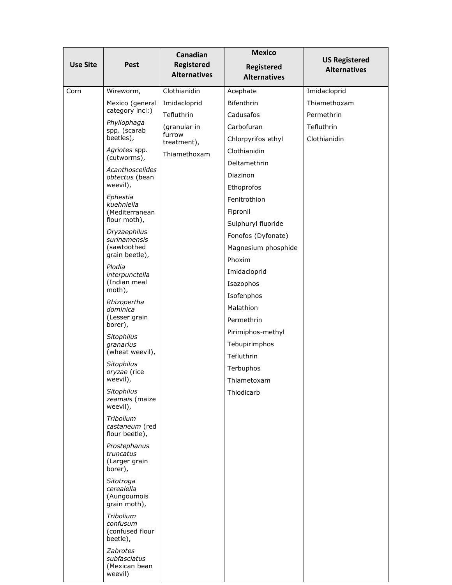| <b>Use Site</b> | <b>Pest</b>                                                   | Canadian<br><b>Registered</b><br><b>Alternatives</b> | <b>Mexico</b><br>Registered<br><b>Alternatives</b>  | <b>US Registered</b><br><b>Alternatives</b> |
|-----------------|---------------------------------------------------------------|------------------------------------------------------|-----------------------------------------------------|---------------------------------------------|
| Corn            | Wireworm,                                                     | Clothianidin                                         | Acephate                                            | Imidacloprid                                |
|                 | Mexico (general<br>category incl:)                            | Imidacloprid<br>Tefluthrin                           | <b>Bifenthrin</b><br>Cadusafos                      | Thiamethoxam<br>Permethrin                  |
|                 | Phyllophaga<br>spp. (scarab<br>beetles),                      | (granular in<br>furrow<br>treatment),                | Carbofuran<br>Chlorpyrifos ethyl                    | Tefluthrin<br>Clothianidin                  |
|                 | Agriotes spp.<br>(cutworms),                                  | Thiamethoxam                                         | Clothianidin                                        |                                             |
|                 | Acanthoscelides<br>obtectus (bean<br>weevil),                 |                                                      | Deltamethrin<br><b>Diazinon</b><br>Ethoprofos       |                                             |
|                 | Ephestia<br>kuehniella<br>(Mediterranean<br>flour moth),      |                                                      | Fenitrothion<br>Fipronil<br>Sulphuryl fluoride      |                                             |
|                 | Oryzaephilus<br>surinamensis<br>(sawtoothed<br>grain beetle), |                                                      | Fonofos (Dyfonate)<br>Magnesium phosphide<br>Phoxim |                                             |
|                 | Plodia<br>interpunctella<br>(Indian meal<br>moth),            |                                                      | Imidacloprid<br>Isazophos<br>Isofenphos             |                                             |
|                 | Rhizopertha<br>dominica<br>(Lesser grain<br>borer),           |                                                      | Malathion<br>Permethrin                             |                                             |
|                 | Sitophilus<br>granarius<br>(wheat weevil),                    |                                                      | Pirimiphos-methyl<br>Tebupirimphos<br>Tefluthrin    |                                             |
|                 | Sitophilus<br>oryzae (rice<br>weevil),                        |                                                      | Terbuphos<br>Thiametoxam                            |                                             |
|                 | Sitophilus<br>zeamais (maize<br>weevil),                      |                                                      | Thiodicarb                                          |                                             |
|                 | Tribolium<br>castaneum (red<br>flour beetle),                 |                                                      |                                                     |                                             |
|                 | Prostephanus<br>truncatus<br>(Larger grain<br>borer),         |                                                      |                                                     |                                             |
|                 | Sitotroga<br>cerealella<br>(Aungoumois<br>grain moth),        |                                                      |                                                     |                                             |
|                 | Tribolium<br>confusum<br>(confused flour<br>beetle),          |                                                      |                                                     |                                             |
|                 | Zabrotes<br>subfasciatus<br>(Mexican bean<br>weevil)          |                                                      |                                                     |                                             |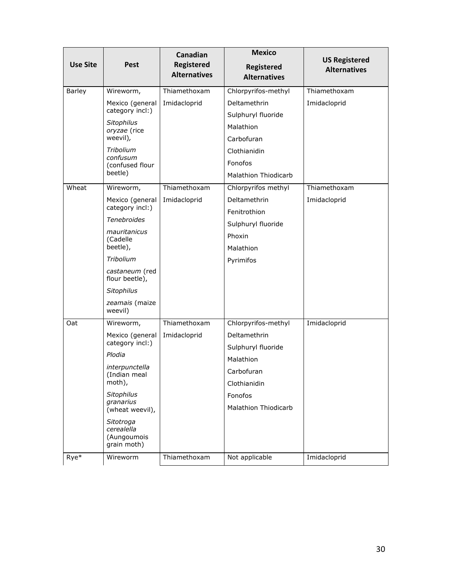| <b>Use Site</b> | <b>Pest</b>                                                     | Canadian<br><b>Registered</b><br><b>Alternatives</b> | <b>Mexico</b><br><b>Registered</b><br><b>Alternatives</b> | <b>US Registered</b><br><b>Alternatives</b> |
|-----------------|-----------------------------------------------------------------|------------------------------------------------------|-----------------------------------------------------------|---------------------------------------------|
| Barley          | Wireworm,                                                       | Thiamethoxam                                         | Chlorpyrifos-methyl                                       | Thiamethoxam                                |
|                 | Mexico (general<br>category incl:)                              | Imidacloprid                                         | Deltamethrin<br>Sulphuryl fluoride                        | Imidacloprid                                |
|                 | Sitophilus<br>oryzae (rice                                      |                                                      | Malathion                                                 |                                             |
|                 | weevil),<br>Tribolium<br>confusum<br>(confused flour<br>beetle) |                                                      | Carbofuran<br>Clothianidin<br>Fonofos                     |                                             |
|                 |                                                                 |                                                      | <b>Malathion Thiodicarb</b>                               |                                             |
| Wheat           | Wireworm,                                                       | Thiamethoxam                                         | Chlorpyrifos methyl                                       | Thiamethoxam                                |
|                 | Mexico (general<br>category incl:)                              | Imidacloprid                                         | Deltamethrin<br>Fenitrothion                              | Imidacloprid                                |
|                 | <b>Tenebroides</b>                                              |                                                      | Sulphuryl fluoride                                        |                                             |
|                 | mauritanicus<br>(Cadelle                                        |                                                      | Phoxin                                                    |                                             |
|                 | beetle),                                                        |                                                      | Malathion                                                 |                                             |
|                 | Tribolium                                                       |                                                      | Pyrimifos                                                 |                                             |
|                 | castaneum (red<br>flour beetle),                                |                                                      |                                                           |                                             |
|                 | Sitophilus                                                      |                                                      |                                                           |                                             |
|                 | zeamais (maize<br>weevil)                                       |                                                      |                                                           |                                             |
| Oat             | Wireworm,                                                       | Thiamethoxam                                         | Chlorpyrifos-methyl                                       | Imidacloprid                                |
|                 | Mexico (general                                                 | Imidacloprid                                         | Deltamethrin                                              |                                             |
|                 | category incl:)                                                 |                                                      | Sulphuryl fluoride                                        |                                             |
|                 | Plodia                                                          |                                                      | Malathion                                                 |                                             |
|                 | interpunctella<br>(Indian meal<br>moth),                        |                                                      | Carbofuran<br>Clothianidin                                |                                             |
|                 | Sitophilus                                                      |                                                      | Fonofos                                                   |                                             |
|                 | granarius<br>(wheat weevil),                                    |                                                      | <b>Malathion Thiodicarb</b>                               |                                             |
|                 | Sitotroga<br>cerealella<br>(Aungoumois<br>grain moth)           |                                                      |                                                           |                                             |
| Rye*            | Wireworm                                                        | Thiamethoxam                                         | Not applicable                                            | Imidacloprid                                |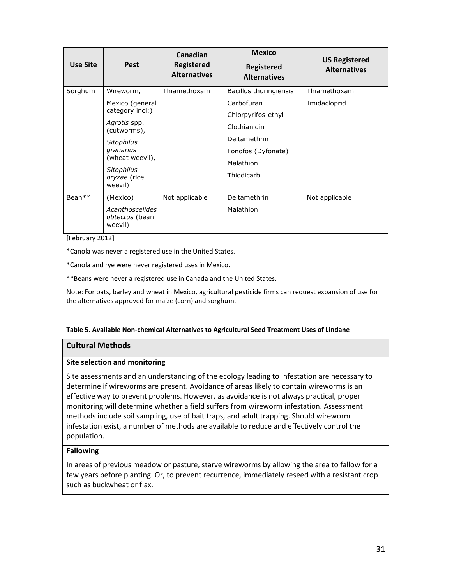| Use Site | <b>Pest</b>                                  | Canadian<br><b>Registered</b><br><b>Alternatives</b> | <b>Mexico</b><br><b>Registered</b><br><b>Alternatives</b> | <b>US Registered</b><br><b>Alternatives</b> |
|----------|----------------------------------------------|------------------------------------------------------|-----------------------------------------------------------|---------------------------------------------|
| Sorghum  | Wireworm,                                    | Thiamethoxam                                         | Bacillus thuringiensis                                    | Thiamethoxam                                |
|          | Mexico (general<br>category incl:)           |                                                      | Carbofuran                                                | Imidacloprid                                |
|          |                                              |                                                      | Chlorpyrifos-ethyl                                        |                                             |
|          | Agrotis spp.<br>(cutworms),                  |                                                      | Clothianidin                                              |                                             |
|          | Sitophilus                                   |                                                      | Deltamethrin                                              |                                             |
|          | granarius<br>(wheat weevil),                 |                                                      | Fonofos (Dyfonate)                                        |                                             |
|          |                                              |                                                      | Malathion                                                 |                                             |
|          | Sitophilus<br>oryzae (rice<br>weevil)        |                                                      | Thiodicarb                                                |                                             |
|          |                                              |                                                      |                                                           |                                             |
| $Bean**$ | (Mexico)                                     | Not applicable                                       | Deltamethrin                                              | Not applicable                              |
|          | Acanthoscelides<br>obtectus (bean<br>weevil) |                                                      | Malathion                                                 |                                             |

[February 2012]

\*Canola was never a registered use in the United States.

\*Canola and rye were never registered uses in Mexico.

\*\*Beans were never a registered use in Canada and the United States.

Note: For oats, barley and wheat in Mexico, agricultural pesticide firms can request expansion of use for the alternatives approved for maize (corn) and sorghum.

#### **Table 5. Available Non-chemical Alternatives to Agricultural Seed Treatment Uses of Lindane**

#### **Cultural Methods**

#### **Site selection and monitoring**

Site assessments and an understanding of the ecology leading to infestation are necessary to determine if wireworms are present. Avoidance of areas likely to contain wireworms is an effective way to prevent problems. However, as avoidance is not always practical, proper monitoring will determine whether a field suffers from wireworm infestation. Assessment methods include soil sampling, use of bait traps, and adult trapping. Should wireworm infestation exist, a number of methods are available to reduce and effectively control the population.

#### **Fallowing**

In areas of previous meadow or pasture, starve wireworms by allowing the area to fallow for a few years before planting. Or, to prevent recurrence, immediately reseed with a resistant crop such as buckwheat or flax.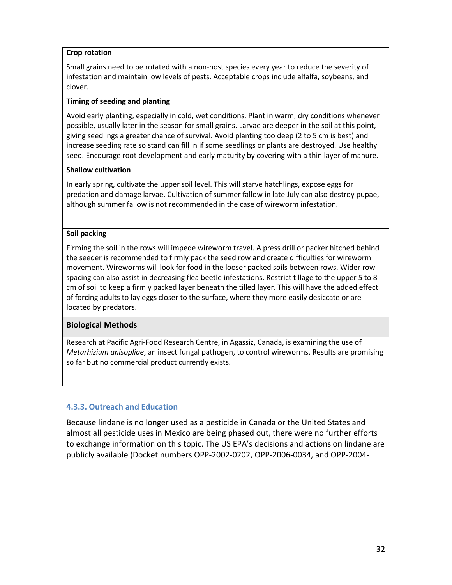#### **Crop rotation**

Small grains need to be rotated with a non-host species every year to reduce the severity of infestation and maintain low levels of pests. Acceptable crops include alfalfa, soybeans, and clover.

#### **Timing of seeding and planting**

Avoid early planting, especially in cold, wet conditions. Plant in warm, dry conditions whenever possible, usually later in the season for small grains. Larvae are deeper in the soil at this point, giving seedlings a greater chance of survival. Avoid planting too deep (2 to 5 cm is best) and increase seeding rate so stand can fill in if some seedlings or plants are destroyed. Use healthy seed. Encourage root development and early maturity by covering with a thin layer of manure.

#### **Shallow cultivation**

In early spring, cultivate the upper soil level. This will starve hatchlings, expose eggs for predation and damage larvae. Cultivation of summer fallow in late July can also destroy pupae, although summer fallow is not recommended in the case of wireworm infestation.

#### **Soil packing**

Firming the soil in the rows will impede wireworm travel. A press drill or packer hitched behind the seeder is recommended to firmly pack the seed row and create difficulties for wireworm movement. Wireworms will look for food in the looser packed soils between rows. Wider row spacing can also assist in decreasing flea beetle infestations. Restrict tillage to the upper 5 to 8 cm of soil to keep a firmly packed layer beneath the tilled layer. This will have the added effect of forcing adults to lay eggs closer to the surface, where they more easily desiccate or are located by predators.

#### **Biological Methods**

Research at Pacific Agri-Food Research Centre, in Agassiz, Canada, is examining the use of *Metarhizium anisopliae*, an insect fungal pathogen, to control wireworms. Results are promising so far but no commercial product currently exists.

## **4.3.3. Outreach and Education**

Because lindane is no longer used as a pesticide in Canada or the United States and almost all pesticide uses in Mexico are being phased out, there were no further efforts to exchange information on this topic. The US EPA's decisions and actions on lindane are publicly available (Docket numbers OPP-2002-0202, OPP-2006-0034, and OPP-2004-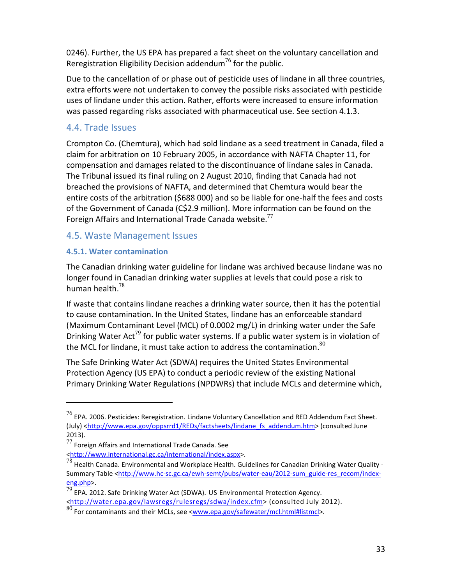0246). Further, the US EPA has prepared a fact sheet on the voluntary cancellation and Reregistration Eligibility Decision addendum<sup>76</sup> for the public.

Due to the cancellation of or phase out of pesticide uses of lindane in all three countries, extra efforts were not undertaken to convey the possible risks associated with pesticide uses of lindane under this action. Rather, efforts were increased to ensure information was passed regarding risks associated with pharmaceutical use. See section 4.1.3.

## 4.4. Trade Issues

Crompton Co. (Chemtura), which had sold lindane as a seed treatment in Canada, filed a claim for arbitration on 10 February 2005, in accordance with NAFTA Chapter 11, for compensation and damages related to the discontinuance of lindane sales in Canada. The Tribunal issued its final ruling on 2 August 2010, finding that Canada had not breached the provisions of NAFTA, and determined that Chemtura would bear the entire costs of the arbitration (\$688 000) and so be liable for one-half the fees and costs of the Government of Canada (C\$2.9 million). More information can be found on the Foreign Affairs and International Trade Canada website.<sup>77</sup>

## 4.5. Waste Management Issues

## **4.5.1. Water contamination**

j

The Canadian drinking water guideline for lindane was archived because lindane was no longer found in Canadian drinking water supplies at levels that could pose a risk to human health.<sup>78</sup>

If waste that contains lindane reaches a drinking water source, then it has the potential to cause contamination. In the United States, lindane has an enforceable standard (Maximum Contaminant Level (MCL) of 0.0002 mg/L) in drinking water under the Safe Drinking Water Act<sup>79</sup> for public water systems. If a public water system is in violation of the MCL for lindane, it must take action to address the contamination. $80$ 

The Safe Drinking Water Act (SDWA) requires the United States Environmental Protection Agency (US EPA) to conduct a periodic review of the existing National Primary Drinking Water Regulations (NPDWRs) that include MCLs and determine which,

<http://water.epa.gov/lawsregs/rulesregs/sdwa/index.cfm> (consulted July 2012).

 $^{76}$  EPA. 2006. Pesticides: Reregistration. Lindane Voluntary Cancellation and RED Addendum Fact Sheet. (July) <http://www.epa.gov/oppsrrd1/REDs/factsheets/lindane\_fs\_addendum.htm> (consulted June 2013).

 $77$  Foreign Affairs and International Trade Canada. See <http://www.international.gc.ca/international/index.aspx>.

 $^{78}$  Health Canada. Environmental and Workplace Health. Guidelines for Canadian Drinking Water Quality -Summary Table <http://www.hc-sc.gc.ca/ewh-semt/pubs/water-eau/2012-sum\_guide-res\_recom/index- $\frac{\text{eng.php}}{79}$ .

 $\overline{P}$  EPA. 2012. Safe Drinking Water Act (SDWA). US Environmental Protection Agency.

<sup>80</sup> For contaminants and their MCLs, see <www.epa.gov/safewater/mcl.html#listmcl>.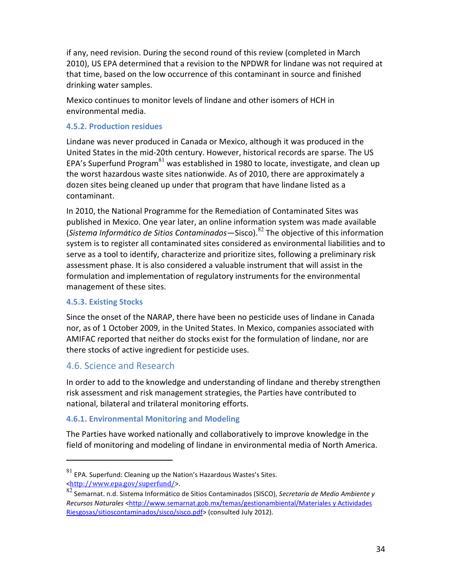if any, need revision. During the second round of this review (completed in March 2010), US EPA determined that a revision to the NPDWR for lindane was not required at that time, based on the low occurrence of this contaminant in source and finished drinking water samples.

Mexico continues to monitor levels of lindane and other isomers of HCH in environmental media.

## **4.5.2. Production residues**

Lindane was never produced in Canada or Mexico, although it was produced in the United States in the mid-20th century. However, historical records are sparse. The US EPA's Superfund Program $81$  was established in 1980 to locate, investigate, and clean up the worst hazardous waste sites nationwide. As of 2010, there are approximately a dozen sites being cleaned up under that program that have lindane listed as a contaminant.

In 2010, the National Programme for the Remediation of Contaminated Sites was published in Mexico. One year later, an online information system was made available (*Sistema Informático de Sitios Contaminados—*Sisco).<sup>82</sup> The objective of this information system is to register all contaminated sites considered as environmental liabilities and to serve as a tool to identify, characterize and prioritize sites, following a preliminary risk assessment phase. It is also considered a valuable instrument that will assist in the formulation and implementation of regulatory instruments for the environmental management of these sites.

## **4.5.3. Existing Stocks**

.

Since the onset of the NARAP, there have been no pesticide uses of lindane in Canada nor, as of 1 October 2009, in the United States. In Mexico, companies associated with AMIFAC reported that neither do stocks exist for the formulation of lindane, nor are there stocks of active ingredient for pesticide uses.

## 4.6. Science and Research

In order to add to the knowledge and understanding of lindane and thereby strengthen risk assessment and risk management strategies, the Parties have contributed to national, bilateral and trilateral monitoring efforts.

## **4.6.1. Environmental Monitoring and Modeling**

The Parties have worked nationally and collaboratively to improve knowledge in the field of monitoring and modeling of lindane in environmental media of North America.

 $81$  EPA. Superfund: Cleaning up the Nation's Hazardous Wastes's Sites. <http://www.epa.gov/superfund/>.

<sup>82</sup> Semarnat. n.d. Sistema Informático de Sitios Contaminados (SISCO), *Secretaría de Medio Ambiente y Recursos Naturales* <http://www.semarnat.gob.mx/temas/gestionambiental/Materiales y Actividades Riesgosas/sitioscontaminados/sisco/sisco.pdf> (consulted July 2012).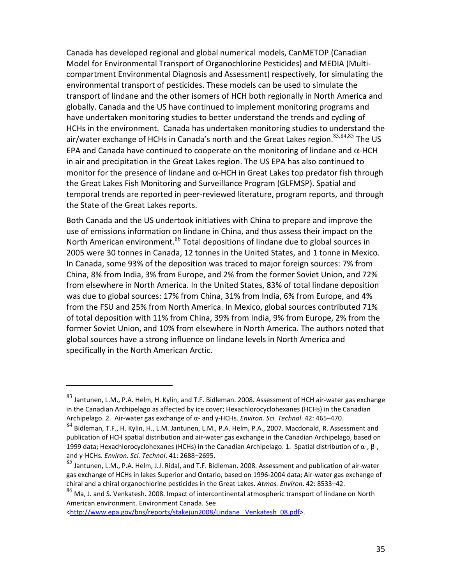Canada has developed regional and global numerical models, CanMETOP (Canadian Model for Environmental Transport of Organochlorine Pesticides) and MEDIA (Multicompartment Environmental Diagnosis and Assessment) respectively, for simulating the environmental transport of pesticides. These models can be used to simulate the transport of lindane and the other isomers of HCH both regionally in North America and globally. Canada and the US have continued to implement monitoring programs and have undertaken monitoring studies to better understand the trends and cycling of HCHs in the environment. Canada has undertaken monitoring studies to understand the air/water exchange of HCHs in Canada's north and the Great Lakes region.<sup>83,84,85</sup> The US EPA and Canada have continued to cooperate on the monitoring of lindane and  $\alpha$ -HCH in air and precipitation in the Great Lakes region. The US EPA has also continued to monitor for the presence of lindane and  $\alpha$ -HCH in Great Lakes top predator fish through the Great Lakes Fish Monitoring and Surveillance Program (GLFMSP). Spatial and temporal trends are reported in peer-reviewed literature, program reports, and through the State of the Great Lakes reports.

Both Canada and the US undertook initiatives with China to prepare and improve the use of emissions information on lindane in China, and thus assess their impact on the North American environment.<sup>86</sup> Total depositions of lindane due to global sources in 2005 were 30 tonnes in Canada, 12 tonnes in the United States, and 1 tonne in Mexico. In Canada, some 93% of the deposition was traced to major foreign sources: 7% from China, 8% from India, 3% from Europe, and 2% from the former Soviet Union, and 72% from elsewhere in North America. In the United States, 83% of total lindane deposition was due to global sources: 17% from China, 31% from India, 6% from Europe, and 4% from the FSU and 25% from North America. In Mexico, global sources contributed 71% of total deposition with 11% from China, 39% from India, 9% from Europe, 2% from the former Soviet Union, and 10% from elsewhere in North America. The authors noted that global sources have a strong influence on lindane levels in North America and specifically in the North American Arctic.

.

<sup>83</sup> Jantunen, L.M., P.A. Helm, H. Kylin, and T.F. Bidleman. 2008. Assessment of HCH air-water gas exchange in the Canadian Archipelago as affected by ice cover; Hexachlorocyclohexanes (HCHs) in the Canadian Archipelago. 2. Air-water gas exchange of α- and γ-HCHs. *Environ. Sci. Technol*. 42: 465–470.

<sup>84</sup> Bidleman, T.F., H. Kylin, H., L.M. Jantunen, L.M., P.A. Helm, P.A., 2007. Macdonald, R. Assessment and publication of HCH spatial distribution and air-water gas exchange in the Canadian Archipelago, based on 1999 data; Hexachlorocyclohexanes (HCHs) in the Canadian Archipelago. 1. Spatial distribution of α-, β-, and γ-HCHs. *Environ. Sci. Technol*. 41: 2688–2695.

<sup>85</sup> Jantunen, L.M., P.A. Helm, J.J. Ridal, and T.F. Bidleman. 2008. Assessment and publication of air-water gas exchange of HCHs in lakes Superior and Ontario, based on 1996-2004 data; Air-water gas exchange of chiral and a chiral organochlorine pesticides in the Great Lakes. *Atmos. Environ*. 42: 8533–42.

<sup>86</sup> Ma, J. and S. Venkatesh. 2008. Impact of intercontinental atmospheric transport of lindane on North American environment. Environment Canada. See

<sup>&</sup>lt;http://www.epa.gov/bns/reports/stakejun2008/Lindane \_Venkatesh\_08.pdf>.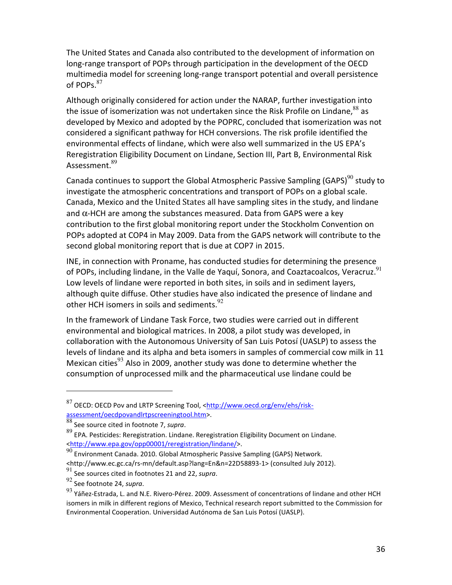The United States and Canada also contributed to the development of information on long-range transport of POPs through participation in the development of the OECD multimedia model for screening long-range transport potential and overall persistence of POPs. $87$ 

Although originally considered for action under the NARAP, further investigation into the issue of isomerization was not undertaken since the Risk Profile on Lindane. $88$  as developed by Mexico and adopted by the POPRC, concluded that isomerization was not considered a significant pathway for HCH conversions. The risk profile identified the environmental effects of lindane, which were also well summarized in the US EPA's Reregistration Eligibility Document on Lindane, Section III, Part B, Environmental Risk Assessment. $^{89}$ 

Canada continues to support the Global Atmospheric Passive Sampling (GAPS) $90$  study to investigate the atmospheric concentrations and transport of POPs on a global scale. Canada, Mexico and the United States all have sampling sites in the study, and lindane and  $\alpha$ -HCH are among the substances measured. Data from GAPS were a key contribution to the first global monitoring report under the Stockholm Convention on POPs adopted at COP4 in May 2009. Data from the GAPS network will contribute to the second global monitoring report that is due at COP7 in 2015.

INE, in connection with Proname, has conducted studies for determining the presence of POPs, including lindane, in the Valle de Yaquí, Sonora, and Coaztacoalcos, Veracruz.<sup>91</sup> Low levels of lindane were reported in both sites, in soils and in sediment layers, although quite diffuse. Other studies have also indicated the presence of lindane and other HCH isomers in soils and sediments.  $92$ 

In the framework of Lindane Task Force, two studies were carried out in different environmental and biological matrices. In 2008, a pilot study was developed, in collaboration with the Autonomous University of San Luis Potosí (UASLP) to assess the levels of lindane and its alpha and beta isomers in samples of commercial cow milk in 11 Mexican cities<sup>93</sup> Also in 2009, another study was done to determine whether the consumption of unprocessed milk and the pharmaceutical use lindane could be

l

<sup>87</sup> OECD: OECD Pov and LRTP Screening Tool, <http://www.oecd.org/env/ehs/riskassessment/oecdpovandlrtpscreeningtool.htm>.

<sup>88</sup> See source cited in footnote 7, *supra*.

 $89$  EPA. Pesticides: Reregistration. Lindane. Reregistration Eligibility Document on Lindane. <http://www.epa.gov/opp00001/reregistration/lindane/>.

 $90$  Environment Canada. 2010. Global Atmospheric Passive Sampling (GAPS) Network.

<sup>&</sup>lt;http://www.ec.gc.ca/rs-mn/default.asp?lang=En&n=22D58893-1> (consulted July 2012).

<sup>91</sup> See sources cited in footnotes 21 and 22, *supra*.

<sup>92</sup> See footnote 24, *supra*.

 $93$  Yáñez-Estrada, L. and N.E. Rivero-Pérez. 2009. Assessment of concentrations of lindane and other HCH isomers in milk in different regions of Mexico, Technical research report submitted to the Commission for Environmental Cooperation. Universidad Autónoma de San Luis Potosí (UASLP).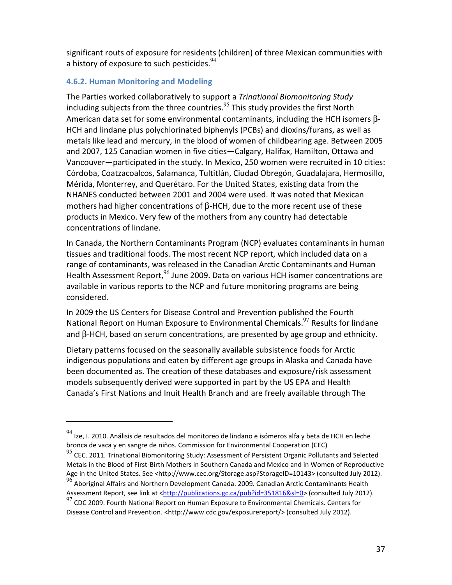significant routs of exposure for residents (children) of three Mexican communities with a history of exposure to such pesticides.<sup>94</sup>

## **4.6.2. Human Monitoring and Modeling**

l

The Parties worked collaboratively to support a *Trinational Biomonitoring Study* including subjects from the three countries. $95$  This study provides the first North American data set for some environmental contaminants, including the HCH isomers β-HCH and lindane plus polychlorinated biphenyls (PCBs) and dioxins/furans, as well as metals like lead and mercury, in the blood of women of childbearing age. Between 2005 and 2007, 125 Canadian women in five cities—Calgary, Halifax, Hamilton, Ottawa and Vancouver—participated in the study. In Mexico, 250 women were recruited in 10 cities: Córdoba, Coatzacoalcos, Salamanca, Tultitlán, Ciudad Obregón, Guadalajara, Hermosillo, Mérida, Monterrey, and Querétaro. For the United States, existing data from the NHANES conducted between 2001 and 2004 were used. It was noted that Mexican mothers had higher concentrations of  $β$ -HCH, due to the more recent use of these products in Mexico. Very few of the mothers from any country had detectable concentrations of lindane.

In Canada, the Northern Contaminants Program (NCP) evaluates contaminants in human tissues and traditional foods. The most recent NCP report, which included data on a range of contaminants, was released in the Canadian Arctic Contaminants and Human Health Assessment Report,<sup>96</sup> June 2009. Data on various HCH isomer concentrations are available in various reports to the NCP and future monitoring programs are being considered.

In 2009 the US Centers for Disease Control and Prevention published the Fourth National Report on Human Exposure to Environmental Chemicals.<sup>97</sup> Results for lindane and β-HCH, based on serum concentrations, are presented by age group and ethnicity.

Dietary patterns focused on the seasonally available subsistence foods for Arctic indigenous populations and eaten by different age groups in Alaska and Canada have been documented as. The creation of these databases and exposure/risk assessment models subsequently derived were supported in part by the US EPA and Health Canada's First Nations and Inuit Health Branch and are freely available through The

 $94$  Ize, I. 2010. Análisis de resultados del monitoreo de lindano e isómeros alfa y beta de HCH en leche bronca de vaca y en sangre de niños. Commission for Environmental Cooperation (CEC)

<sup>&</sup>lt;sup>95</sup> CEC. 2011. Trinational Biomonitoring Study: Assessment of Persistent Organic Pollutants and Selected Metals in the Blood of First-Birth Mothers in Southern Canada and Mexico and in Women of Reproductive Age in the United States. See <http://www.cec.org/Storage.asp?StorageID=10143> (consulted July 2012).

<sup>&</sup>lt;sup>96</sup> Aboriginal Affairs and Northern Development Canada. 2009. Canadian Arctic Contaminants Health Assessment Report, see link at <http://publications.gc.ca/pub?id=351816&sl=0> (consulted July 2012).

 $97$  CDC 2009. Fourth National Report on Human Exposure to Environmental Chemicals. Centers for Disease Control and Prevention. <http://www.cdc.gov/exposurereport/> (consulted July 2012).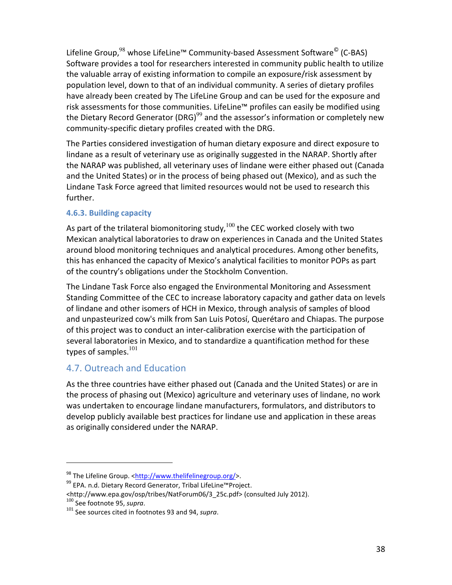Lifeline Group,<sup>98</sup> whose LifeLine™ Community-based Assessment Software<sup>©</sup> (C-BAS) Software provides a tool for researchers interested in community public health to utilize the valuable array of existing information to compile an exposure/risk assessment by population level, down to that of an individual community. A series of dietary profiles have already been created by The LifeLine Group and can be used for the exposure and risk assessments for those communities. LifeLine™ profiles can easily be modified using the Dietary Record Generator (DRG) $^{99}$  and the assessor's information or completely new community-specific dietary profiles created with the DRG.

The Parties considered investigation of human dietary exposure and direct exposure to lindane as a result of veterinary use as originally suggested in the NARAP. Shortly after the NARAP was published, all veterinary uses of lindane were either phased out (Canada and the United States) or in the process of being phased out (Mexico), and as such the Lindane Task Force agreed that limited resources would not be used to research this further.

## **4.6.3. Building capacity**

As part of the trilateral biomonitoring study,  $100$  the CEC worked closely with two Mexican analytical laboratories to draw on experiences in Canada and the United States around blood monitoring techniques and analytical procedures. Among other benefits, this has enhanced the capacity of Mexico's analytical facilities to monitor POPs as part of the country's obligations under the Stockholm Convention.

The Lindane Task Force also engaged the Environmental Monitoring and Assessment Standing Committee of the CEC to increase laboratory capacity and gather data on levels of lindane and other isomers of HCH in Mexico, through analysis of samples of blood and unpasteurized cow's milk from San Luis Potosí, Querétaro and Chiapas. The purpose of this project was to conduct an inter-calibration exercise with the participation of several laboratories in Mexico, and to standardize a quantification method for these types of samples. $^{101}$ 

## 4.7. Outreach and Education

.

As the three countries have either phased out (Canada and the United States) or are in the process of phasing out (Mexico) agriculture and veterinary uses of lindane, no work was undertaken to encourage lindane manufacturers, formulators, and distributors to develop publicly available best practices for lindane use and application in these areas as originally considered under the NARAP.

<sup>98</sup> The Lifeline Group. <http://www.thelifelinegroup.org/>.

<sup>&</sup>lt;sup>99</sup> EPA. n.d. Dietary Record Generator, Tribal LifeLine™Project.

<sup>&</sup>lt;http://www.epa.gov/osp/tribes/NatForum06/3\_25c.pdf> (consulted July 2012). <sup>100</sup> See footnote 95, *supra*.

<sup>101</sup> See sources cited in footnotes 93 and 94, *supra*.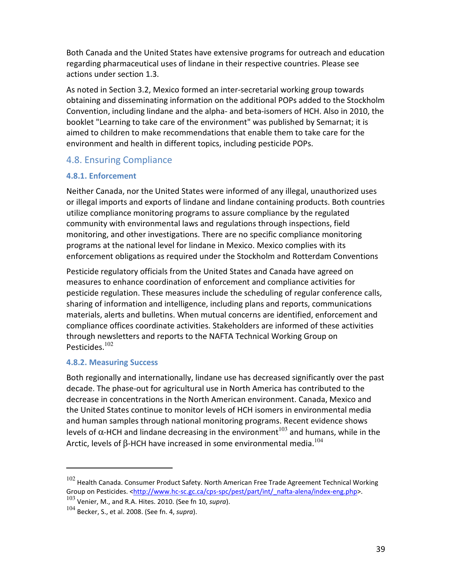Both Canada and the United States have extensive programs for outreach and education regarding pharmaceutical uses of lindane in their respective countries. Please see actions under section 1.3.

As noted in Section 3.2, Mexico formed an inter-secretarial working group towards obtaining and disseminating information on the additional POPs added to the Stockholm Convention, including lindane and the alpha- and beta-isomers of HCH. Also in 2010, the booklet "Learning to take care of the environment" was published by Semarnat; it is aimed to children to make recommendations that enable them to take care for the environment and health in different topics, including pesticide POPs.

## 4.8. Ensuring Compliance

## **4.8.1. Enforcement**

Neither Canada, nor the United States were informed of any illegal, unauthorized uses or illegal imports and exports of lindane and lindane containing products. Both countries utilize compliance monitoring programs to assure compliance by the regulated community with environmental laws and regulations through inspections, field monitoring, and other investigations. There are no specific compliance monitoring programs at the national level for lindane in Mexico. Mexico complies with its enforcement obligations as required under the Stockholm and Rotterdam Conventions

Pesticide regulatory officials from the United States and Canada have agreed on measures to enhance coordination of enforcement and compliance activities for pesticide regulation. These measures include the scheduling of regular conference calls, sharing of information and intelligence, including plans and reports, communications materials, alerts and bulletins. When mutual concerns are identified, enforcement and compliance offices coordinate activities. Stakeholders are informed of these activities through newsletters and reports to the NAFTA Technical Working Group on Pesticides.<sup>102</sup>

## **4.8.2. Measuring Success**

.

Both regionally and internationally, lindane use has decreased significantly over the past decade. The phase-out for agricultural use in North America has contributed to the decrease in concentrations in the North American environment. Canada, Mexico and the United States continue to monitor levels of HCH isomers in environmental media and human samples through national monitoring programs. Recent evidence shows levels of α-HCH and lindane decreasing in the environment<sup>103</sup> and humans, while in the Arctic, levels of β-HCH have increased in some environmental media. $^{104}$ 

 $102$  Health Canada. Consumer Product Safety. North American Free Trade Agreement Technical Working Group on Pesticides. <http://www.hc-sc.gc.ca/cps-spc/pest/part/int/\_nafta-alena/index-eng.php>.

<sup>103</sup> Venier, M., and R.A. Hites. 2010. (See fn 10, *supra*).

<sup>104</sup> Becker, S., et al. 2008. (See fn. 4, *supra*).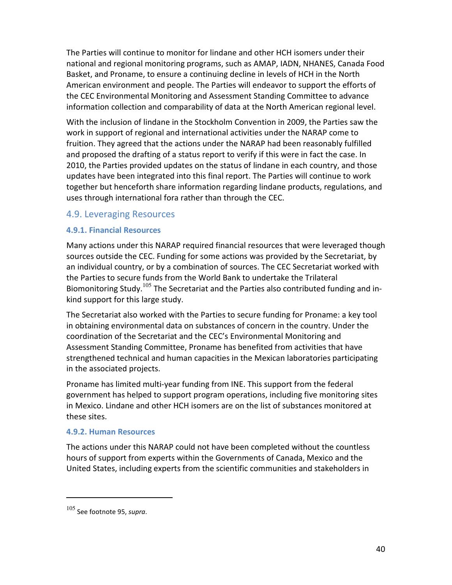The Parties will continue to monitor for lindane and other HCH isomers under their national and regional monitoring programs, such as AMAP, IADN, NHANES, Canada Food Basket, and Proname, to ensure a continuing decline in levels of HCH in the North American environment and people. The Parties will endeavor to support the efforts of the CEC Environmental Monitoring and Assessment Standing Committee to advance information collection and comparability of data at the North American regional level.

With the inclusion of lindane in the Stockholm Convention in 2009, the Parties saw the work in support of regional and international activities under the NARAP come to fruition. They agreed that the actions under the NARAP had been reasonably fulfilled and proposed the drafting of a status report to verify if this were in fact the case. In 2010, the Parties provided updates on the status of lindane in each country, and those updates have been integrated into this final report. The Parties will continue to work together but henceforth share information regarding lindane products, regulations, and uses through international fora rather than through the CEC.

## 4.9. Leveraging Resources

#### **4.9.1. Financial Resources**

Many actions under this NARAP required financial resources that were leveraged though sources outside the CEC. Funding for some actions was provided by the Secretariat, by an individual country, or by a combination of sources. The CEC Secretariat worked with the Parties to secure funds from the World Bank to undertake the Trilateral Biomonitoring Study.<sup>105</sup> The Secretariat and the Parties also contributed funding and inkind support for this large study.

The Secretariat also worked with the Parties to secure funding for Proname: a key tool in obtaining environmental data on substances of concern in the country. Under the coordination of the Secretariat and the CEC's Environmental Monitoring and Assessment Standing Committee, Proname has benefited from activities that have strengthened technical and human capacities in the Mexican laboratories participating in the associated projects.

Proname has limited multi-year funding from INE. This support from the federal government has helped to support program operations, including five monitoring sites in Mexico. Lindane and other HCH isomers are on the list of substances monitored at these sites.

#### **4.9.2. Human Resources**

The actions under this NARAP could not have been completed without the countless hours of support from experts within the Governments of Canada, Mexico and the United States, including experts from the scientific communities and stakeholders in

.

<sup>105</sup> See footnote 95, *supra*.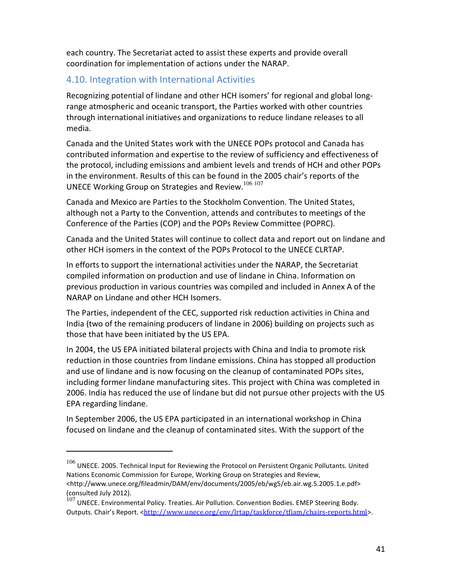each country. The Secretariat acted to assist these experts and provide overall coordination for implementation of actions under the NARAP.

## 4.10. Integration with International Activities

Recognizing potential of lindane and other HCH isomers' for regional and global longrange atmospheric and oceanic transport, the Parties worked with other countries through international initiatives and organizations to reduce lindane releases to all media.

Canada and the United States work with the UNECE POPs protocol and Canada has contributed information and expertise to the review of sufficiency and effectiveness of the protocol, including emissions and ambient levels and trends of HCH and other POPs in the environment. Results of this can be found in the 2005 chair's reports of the UNECE Working Group on Strategies and Review.<sup>106 107</sup>

Canada and Mexico are Parties to the Stockholm Convention. The United States, although not a Party to the Convention, attends and contributes to meetings of the Conference of the Parties (COP) and the POPs Review Committee (POPRC).

Canada and the United States will continue to collect data and report out on lindane and other HCH isomers in the context of the POPs Protocol to the UNECE CLRTAP.

In efforts to support the international activities under the NARAP, the Secretariat compiled information on production and use of lindane in China. Information on previous production in various countries was compiled and included in Annex A of the NARAP on Lindane and other HCH Isomers.

The Parties, independent of the CEC, supported risk reduction activities in China and India (two of the remaining producers of lindane in 2006) building on projects such as those that have been initiated by the US EPA.

In 2004, the US EPA initiated bilateral projects with China and India to promote risk reduction in those countries from lindane emissions. China has stopped all production and use of lindane and is now focusing on the cleanup of contaminated POPs sites, including former lindane manufacturing sites. This project with China was completed in 2006. India has reduced the use of lindane but did not pursue other projects with the US EPA regarding lindane.

In September 2006, the US EPA participated in an international workshop in China focused on lindane and the cleanup of contaminated sites. With the support of the

.

 $106$  UNECE. 2005. Technical Input for Reviewing the Protocol on Persistent Organic Pollutants. United Nations Economic Commission for Europe, Working Group on Strategies and Review, <http://www.unece.org/fileadmin/DAM/env/documents/2005/eb/wg5/eb.air.wg.5.2005.1.e.pdf> (consulted July 2012).

 $107$  UNECE. Environmental Policy. Treaties. Air Pollution. Convention Bodies. EMEP Steering Body. Outputs. Chair's Report. <http://www.unece.org/env/lrtap/taskforce/tfiam/chairs-reports.html>.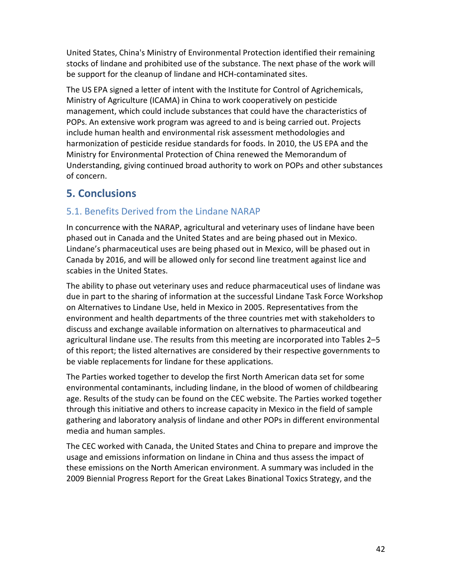United States, China's Ministry of Environmental Protection identified their remaining stocks of lindane and prohibited use of the substance. The next phase of the work will be support for the cleanup of lindane and HCH-contaminated sites.

The US EPA signed a letter of intent with the Institute for Control of Agrichemicals, Ministry of Agriculture (ICAMA) in China to work cooperatively on pesticide management, which could include substances that could have the characteristics of POPs. An extensive work program was agreed to and is being carried out. Projects include human health and environmental risk assessment methodologies and harmonization of pesticide residue standards for foods. In 2010, the US EPA and the Ministry for Environmental Protection of China renewed the Memorandum of Understanding, giving continued broad authority to work on POPs and other substances of concern.

## **5. Conclusions**

## 5.1. Benefits Derived from the Lindane NARAP

In concurrence with the NARAP, agricultural and veterinary uses of lindane have been phased out in Canada and the United States and are being phased out in Mexico. Lindane's pharmaceutical uses are being phased out in Mexico, will be phased out in Canada by 2016, and will be allowed only for second line treatment against lice and scabies in the United States.

The ability to phase out veterinary uses and reduce pharmaceutical uses of lindane was due in part to the sharing of information at the successful Lindane Task Force Workshop on Alternatives to Lindane Use, held in Mexico in 2005. Representatives from the environment and health departments of the three countries met with stakeholders to discuss and exchange available information on alternatives to pharmaceutical and agricultural lindane use. The results from this meeting are incorporated into Tables 2–5 of this report; the listed alternatives are considered by their respective governments to be viable replacements for lindane for these applications.

The Parties worked together to develop the first North American data set for some environmental contaminants, including lindane, in the blood of women of childbearing age. Results of the study can be found on the CEC website. The Parties worked together through this initiative and others to increase capacity in Mexico in the field of sample gathering and laboratory analysis of lindane and other POPs in different environmental media and human samples.

The CEC worked with Canada, the United States and China to prepare and improve the usage and emissions information on lindane in China and thus assess the impact of these emissions on the North American environment. A summary was included in the 2009 Biennial Progress Report for the Great Lakes Binational Toxics Strategy, and the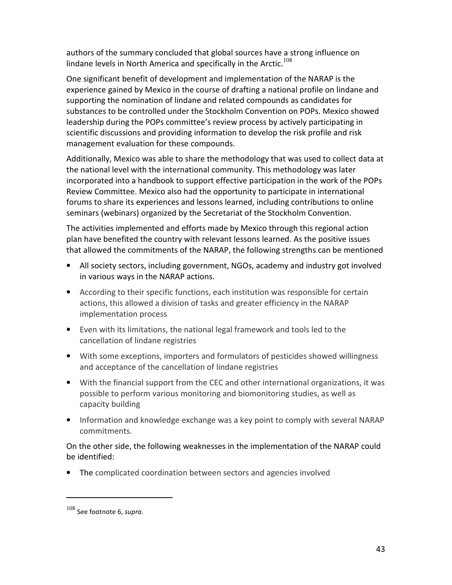authors of the summary concluded that global sources have a strong influence on lindane levels in North America and specifically in the Arctic.<sup>108</sup>

One significant benefit of development and implementation of the NARAP is the experience gained by Mexico in the course of drafting a national profile on lindane and supporting the nomination of lindane and related compounds as candidates for substances to be controlled under the Stockholm Convention on POPs. Mexico showed leadership during the POPs committee's review process by actively participating in scientific discussions and providing information to develop the risk profile and risk management evaluation for these compounds.

Additionally, Mexico was able to share the methodology that was used to collect data at the national level with the international community. This methodology was later incorporated into a handbook to support effective participation in the work of the POPs Review Committee. Mexico also had the opportunity to participate in international forums to share its experiences and lessons learned, including contributions to online seminars (webinars) organized by the Secretariat of the Stockholm Convention.

The activities implemented and efforts made by Mexico through this regional action plan have benefited the country with relevant lessons learned. As the positive issues that allowed the commitments of the NARAP, the following strengths can be mentioned

- All society sectors, including government, NGOs, academy and industry got involved in various ways in the NARAP actions.
- According to their specific functions, each institution was responsible for certain actions, this allowed a division of tasks and greater efficiency in the NARAP implementation process
- Even with its limitations, the national legal framework and tools led to the cancellation of lindane registries
- With some exceptions, importers and formulators of pesticides showed willingness and acceptance of the cancellation of lindane registries
- With the financial support from the CEC and other international organizations, it was possible to perform various monitoring and biomonitoring studies, as well as capacity building
- Information and knowledge exchange was a key point to comply with several NARAP commitments.

On the other side, the following weaknesses in the implementation of the NARAP could be identified:

• The complicated coordination between sectors and agencies involved

.

<sup>108</sup> See footnote 6, *supra*.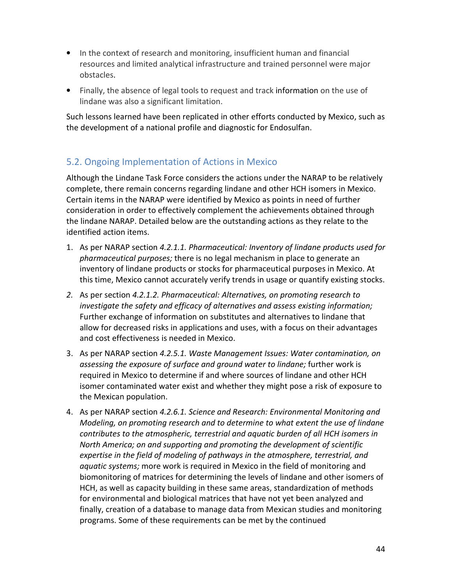- In the context of research and monitoring, insufficient human and financial resources and limited analytical infrastructure and trained personnel were major obstacles.
- Finally, the absence of legal tools to request and track information on the use of lindane was also a significant limitation.

Such lessons learned have been replicated in other efforts conducted by Mexico, such as the development of a national profile and diagnostic for Endosulfan.

## 5.2. Ongoing Implementation of Actions in Mexico

Although the Lindane Task Force considers the actions under the NARAP to be relatively complete, there remain concerns regarding lindane and other HCH isomers in Mexico. Certain items in the NARAP were identified by Mexico as points in need of further consideration in order to effectively complement the achievements obtained through the lindane NARAP. Detailed below are the outstanding actions as they relate to the identified action items.

- 1. As per NARAP section *4.2.1.1. Pharmaceutical: Inventory of lindane products used for pharmaceutical purposes;* there is no legal mechanism in place to generate an inventory of lindane products or stocks for pharmaceutical purposes in Mexico. At this time, Mexico cannot accurately verify trends in usage or quantify existing stocks.
- *2.* As per section *4.2.1.2. Pharmaceutical: Alternatives, on promoting research to investigate the safety and efficacy of alternatives and assess existing information;* Further exchange of information on substitutes and alternatives to lindane that allow for decreased risks in applications and uses, with a focus on their advantages and cost effectiveness is needed in Mexico.
- 3. As per NARAP section *4.2.5.1. Waste Management Issues: Water contamination, on assessing the exposure of surface and ground water to lindane;* further work is required in Mexico to determine if and where sources of lindane and other HCH isomer contaminated water exist and whether they might pose a risk of exposure to the Mexican population.
- 4. As per NARAP section *4.2.6.1. Science and Research: Environmental Monitoring and Modeling, on promoting research and to determine to what extent the use of lindane contributes to the atmospheric, terrestrial and aquatic burden of all HCH isomers in North America; on and supporting and promoting the development of scientific expertise in the field of modeling of pathways in the atmosphere, terrestrial, and aquatic systems;* more work is required in Mexico in the field of monitoring and biomonitoring of matrices for determining the levels of lindane and other isomers of HCH, as well as capacity building in these same areas, standardization of methods for environmental and biological matrices that have not yet been analyzed and finally, creation of a database to manage data from Mexican studies and monitoring programs. Some of these requirements can be met by the continued